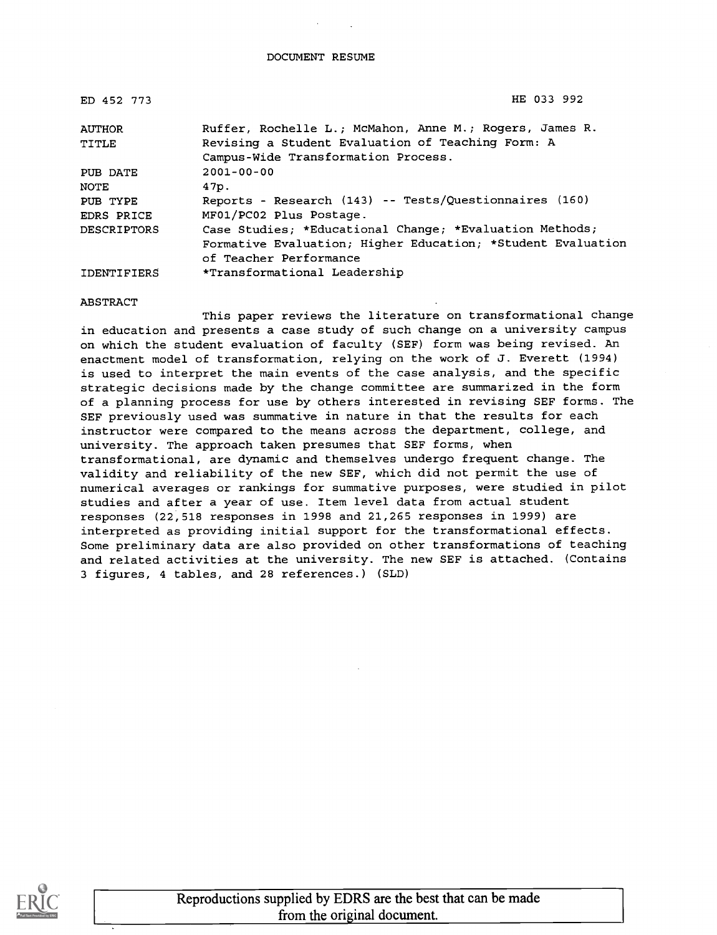| ED 452 773         | HE 033 992                                                  |
|--------------------|-------------------------------------------------------------|
| <b>AUTHOR</b>      | Ruffer, Rochelle L.; McMahon, Anne M.; Rogers, James R.     |
| TITLE              | Revising a Student Evaluation of Teaching Form: A           |
|                    | Campus-Wide Transformation Process.                         |
| PUB DATE           | $2001 - 00 - 00$                                            |
| NOTE               | 47p.                                                        |
| PUB TYPE           | Reports - Research (143) -- Tests/Questionnaires (160)      |
| EDRS PRICE         | MF01/PC02 Plus Postage.                                     |
| <b>DESCRIPTORS</b> | Case Studies; *Educational Change; *Evaluation Methods;     |
|                    | Formative Evaluation; Higher Education; *Student Evaluation |
|                    | of Teacher Performance                                      |
| <b>IDENTIFIERS</b> | *Transformational Leadership                                |

### ABSTRACT

This paper reviews the literature on transformational change in education and presents a case study of such change on a university campus on which the student evaluation of faculty (SEF) form was being revised. An enactment model of transformation, relying on the work of J. Everett (1994) is used to interpret the main events of the case analysis, and the specific strategic decisions made by the change committee are summarized in the form of a planning process for use by others interested in revising SEF forms. The SEF previously used was summative in nature in that the results for each instructor were compared to the means across the department, college, and university. The approach taken presumes that SEF forms, when transformational, are dynamic and themselves undergo frequent change. The validity and reliability of the new SEF, which did not permit the use of numerical averages or rankings for summative purposes, were studied in pilot studies and after a year of use. Item level data from actual student responses (22,518 responses in 1998 and 21,265 responses in 1999) are interpreted as providing initial support for the transformational effects. Some preliminary data are also provided on other transformations of teaching and related activities at the university. The new SEF is attached. (Contains 3 figures, 4 tables, and 28 references.) (SLD)

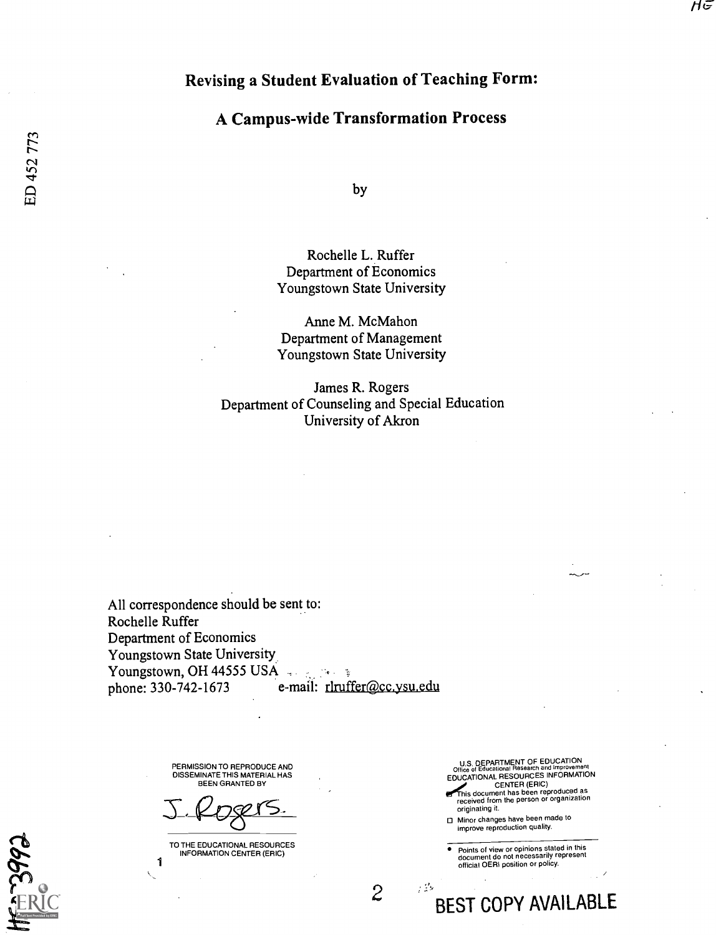# Revising a Student Evaluation of Teaching Form:

# A Campus-wide Transformation Process

by

## Rochelle L. Ruffer Department of Economics Youngstown State University

Anne M. McMahon Department of Management Youngstown State University

James R. Rogers Department of Counseling and Special Education University of Akron

All correspondence should be sent to: Rochelle Ruffer Department of Economics Youngstown State University Youngstown, OH 44555 USA phone: 330-742-1673 e-mail: rlruffer@cc.ysu.edu

> PERMISSION TO REPRODUCE AND DISSEMINATE THIS MATERIAL HAS BEEN GRANTED BY

Rogers.

TO THE EDUCATIONAL RESOURCES INFORMATION CENTER (ERIC)

1

U.S. DEPARTMENT OF EDUCATION<br>Office of Educational Research and Improvement<br>EDUCATIONAL RESOURCES INFORMATION CENTER (ERIC) his document has been reproduced as received from the person or organization originating it.

Minor changes have been made to improve reproduction quality.

 $2-\frac{12}{\pi}$ nfot

 $\bullet$ Points of view or opinions stated in this document do not necessarily represent official OERI position or policy.

BEST COPY AVAILABLE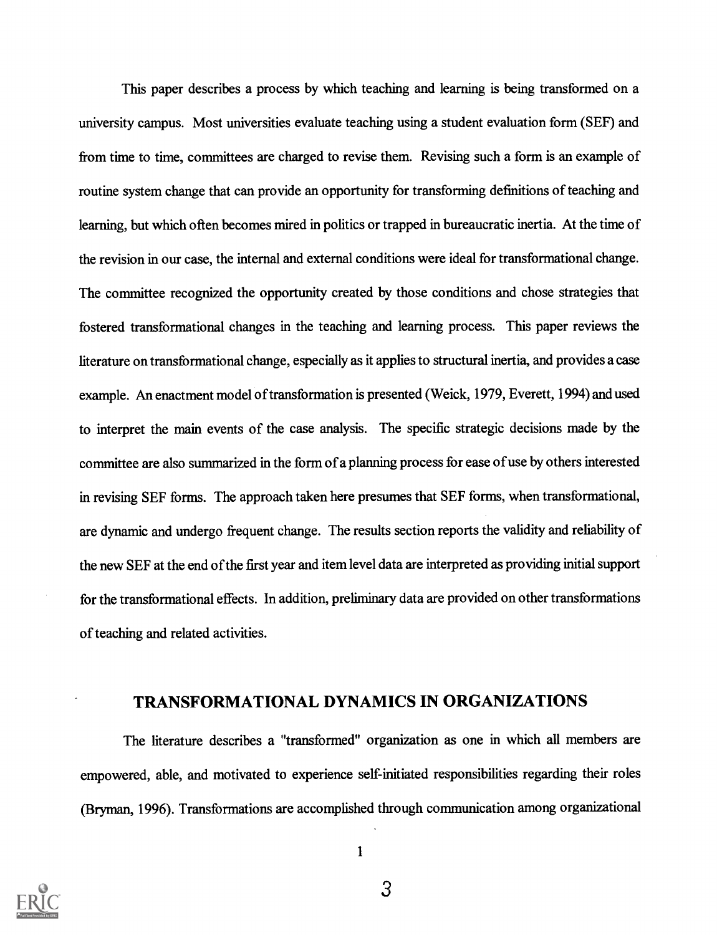This paper describes a process by which teaching and learning is being transformed on a university campus. Most universities evaluate teaching using a student evaluation form (SEF) and from time to time, committees are charged to revise them. Revising such a form is an example of routine system change that can provide an opportunity for transforming definitions of teaching and learning, but which often becomes mired in politics or trapped in bureaucratic inertia. At the time of the revision in our case, the internal and external conditions were ideal for transformational change. The committee recognized the opportunity created by those conditions and chose strategies that fostered transformational changes in the teaching and learning process. This paper reviews the literature on transformational change, especially as it applies to structural inertia, and provides a case example. An enactment model of transformation is presented (Weick, 1979, Everett, 1994) and used to interpret the main events of the case analysis. The specific strategic decisions made by the committee are also summarized in the form of a planning process for ease of use by others interested in revising SEF forms. The approach taken here presumes that SEF forms, when transformational, are dynamic and undergo frequent change. The results section reports the validity and reliability of the new SEF at the end of the first year and item level data are interpreted as providing initial support for the transformational effects. In addition, preliminary data are provided on other transformations of teaching and related activities.

# TRANSFORMATIONAL DYNAMICS IN ORGANIZATIONS

The literature describes a "transformed" organization as one in which all members are empowered, able, and motivated to experience self-initiated responsibilities regarding their roles (Bryman, 1996). Transformations are accomplished through communication among organizational

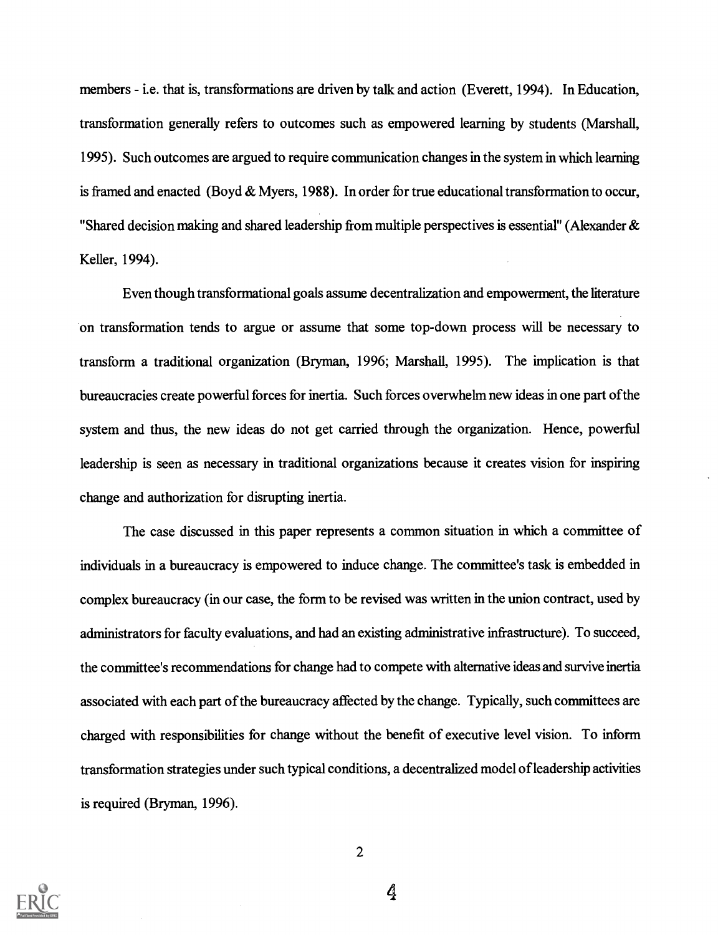members - i.e. that is, transformations are driven by talk and action (Everett, 1994). In Education, transformation generally refers to outcomes such as empowered learning by students (Marshall, 1995). Such outcomes are argued to require communication changes in the system in which learning is framed and enacted (Boyd  $&$  Myers, 1988). In order for true educational transformation to occur, "Shared decision making and shared leadership from multiple perspectives is essential" (Alexander & Keller, 1994).

Even though transformational goals assume decentralization and empowerment, the literature on transformation tends to argue or assume that some top-down process will be necessary to transform a traditional organization (Bryman, 1996; Marshall, 1995). The implication is that bureaucracies create powerful forces for inertia. Such forces overwhelm new ideas in one part ofthe system and thus, the new ideas do not get carried through the organization. Hence, powerful leadership is seen as necessary in traditional organizations because it creates vision for inspiring change and authorization for disrupting inertia.

The case discussed in this paper represents a common situation in which a committee of individuals in a bureaucracy is empowered to induce change. The committee's task is embedded in complex bureaucracy (in our case, the form to be revised was written in the union contract, used by administrators for faculty evaluations, and had an existing administrative infrastructure). To succeed, the committee's recommendations for change had to compete with alternative ideas and survive inertia associated with each part of the bureaucracy affected by the change. Typically, such committees are charged with responsibilities for change without the benefit of executive level vision. To inform transformation strategies under such typical conditions, a decentralized model of leadership activities is required (Bryman, 1996).

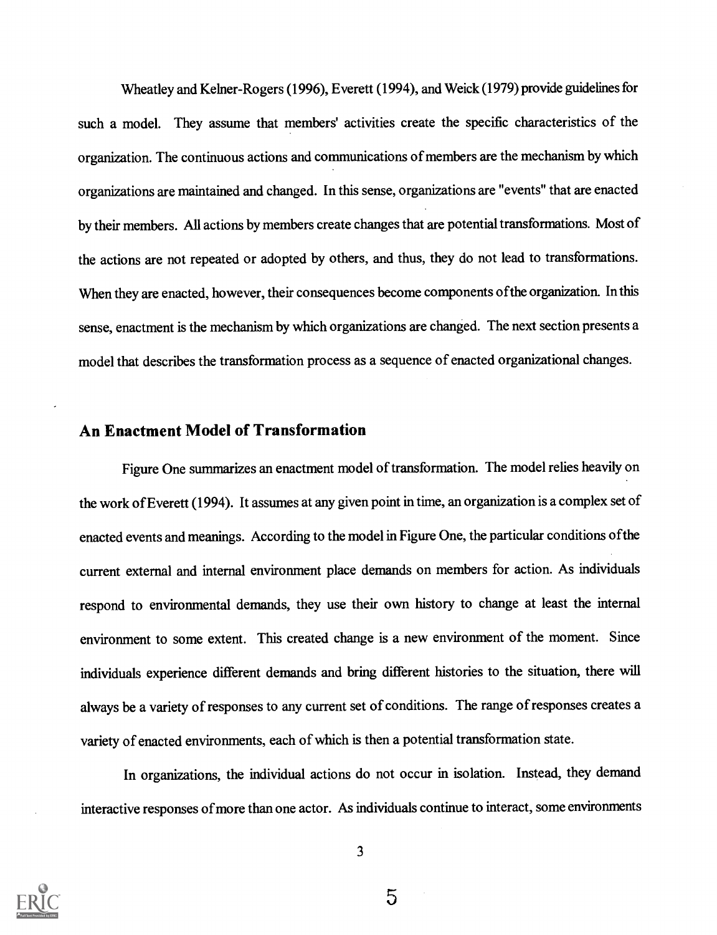Wheatley and Kelner-Rogers (1996), Everett (1994), and Weick (1979) provide guidelines for such a model. They assume that members' activities create the specific characteristics of the organization. The continuous actions and communications of members are the mechanism by which organizations are maintained and changed. In this sense, organizations are "events" that are enacted by their members. All actions by members create changes that are potential transformations. Most of the actions are not repeated or adopted by others, and thus, they do not lead to transformations. When they are enacted, however, their consequences become components ofthe organization. In this sense, enactment is the mechanism by which organizations are changed. The next section presents a model that describes the transformation process as a sequence of enacted organizational changes.

# An Enactment Model of Transformation

Figure One summarizes an enactment model of transformation. The model relies heavily on the work of Everett (1994). It assumes at any given point in time, an organization is a complex set of enacted events and meanings. According to the model in Figure One, the particular conditions ofthe current external and internal environment place demands on members for action. As individuals respond to environmental demands, they use their own history to change at least the internal environment to some extent. This created change is a new environment of the moment. Since individuals experience different demands and bring different histories to the situation, there will always be a variety of responses to any current set of conditions. The range of responses creates a variety of enacted environments, each of which is then a potential transformation state.

In organizations, the individual actions do not occur in isolation. Instead, they demand interactive responses of more than one actor. As individuals continue to interact, some environments



3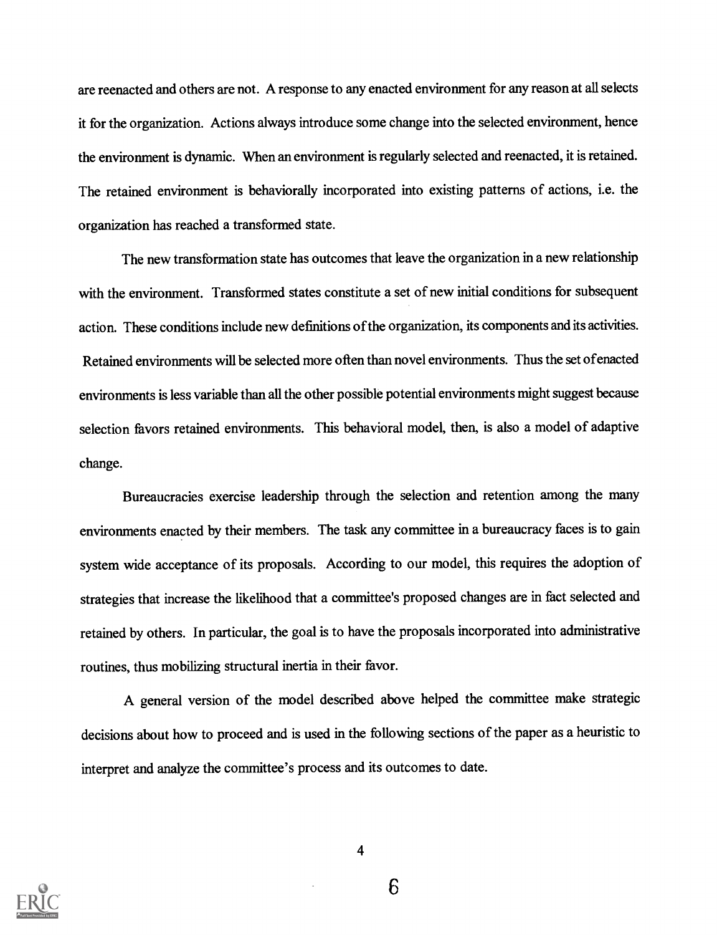are reenacted and others are not. A response to any enacted environment for any reason at all selects it for the organization. Actions always introduce some change into the selected environment, hence the environment is dynamic. When an environment is regularly selected and reenacted, it is retained. The retained environment is behaviorally incorporated into existing patterns of actions, i.e. the organization has reached a transformed state.

The new transformation state has outcomes that leave the organization in a new relationship with the environment. Transformed states constitute a set of new initial conditions for subsequent action. These conditions include new definitions of the organization, its components and its activities. Retained environments will be selected more often than novel environments. Thus the set ofenacted environments is less variable than all the other possible potential environments might suggest because selection favors retained environments. This behavioral model, then, is also a model of adaptive change.

Bureaucracies exercise leadership through the selection and retention among the many environments enacted by their members. The task any committee in a bureaucracy faces is to gain system wide acceptance of its proposals. According to our model, this requires the adoption of strategies that increase the likelihood that a committee's proposed changes are in fact selected and retained by others. In particular, the goal is to have the proposals incorporated into administrative routines, thus mobilizing structural inertia in their favor.

A general version of the model described above helped the committee make strategic decisions about how to proceed and is used in the following sections of the paper as a heuristic to interpret and analyze the committee's process and its outcomes to date.



4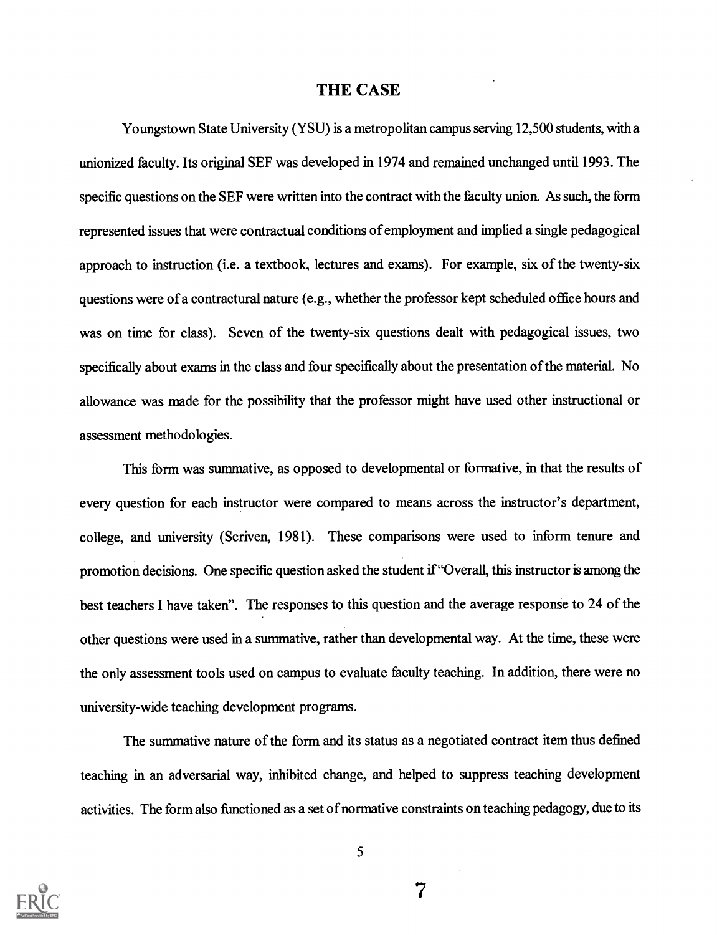## THE CASE

Youngstown State University (YSU) is a metropolitan campus serving 12,500 students, with a unionized faculty. Its original SEF was developed in 1974 and remained unchanged until 1993. The specific questions on the SEF were written into the contract with the faculty union. As such, the form represented issues that were contractual conditions of employment and implied a single pedagogical approach to instruction (i.e. a textbook, lectures and exams). For example, six of the twenty-six questions were of a contractural nature (e.g., whether the professor kept scheduled office hours and was on time for class). Seven of the twenty-six questions dealt with pedagogical issues, two specifically about exams in the class and four specifically about the presentation of the material. No allowance was made for the possibility that the professor might have used other instructional or assessment methodologies.

This form was summative, as opposed to developmental or formative, in that the results of every question for each instructor were compared to means across the instructor's department, college, and university (Scriven, 1981). These comparisons were used to inform tenure and promotion decisions. One specific question asked the student if"Overall, this instructor is among the best teachers I have taken". The responses to this question and the average response to 24 of the other questions were used in a summative, rather than developmental way. At the time, these were the only assessment tools used on campus to evaluate faculty teaching. In addition, there were no university-wide teaching development programs.

The summative nature of the form and its status as a negotiated contract item thus defined teaching in an adversarial way, inhibited change, and helped to suppress teaching development activities. The form also functioned as a set of normative constraints on teaching pedagogy, due to its

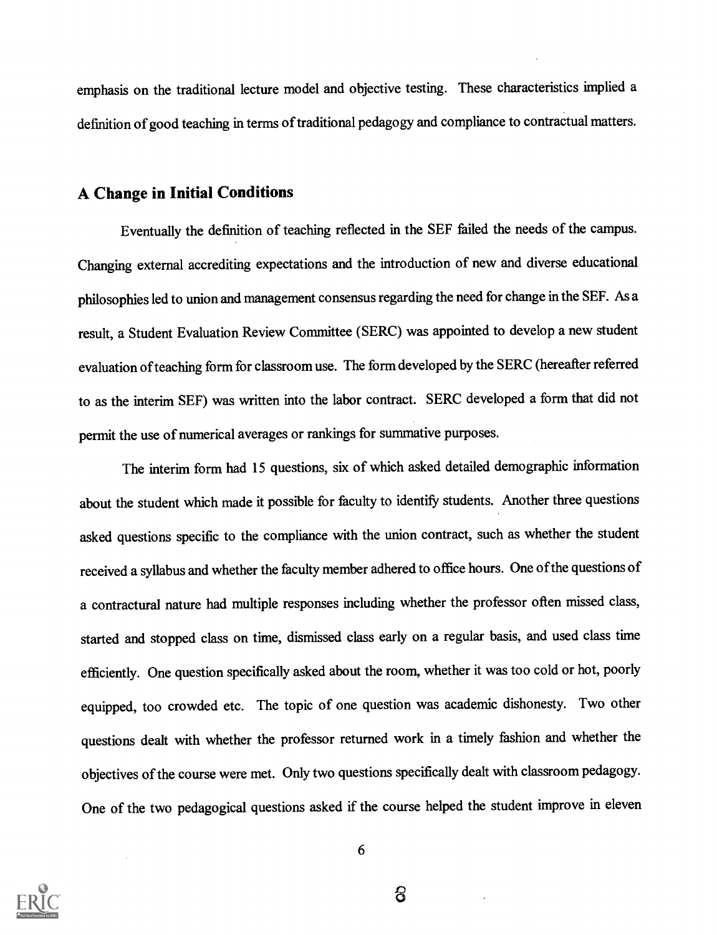emphasis on the traditional lecture model and objective testing. These characteristics implied a definition of good teaching in terms of traditional pedagogy and compliance to contractual matters.

# A Change in Initial Conditions

Eventually the definition of teaching reflected in the SEF failed the needs of the campus. Changing external accrediting expectations and the introduction of new and diverse educational philosophies led to union and management consensus regarding the need for change in the SEF. As a result, a Student Evaluation Review Committee (SERC) was appointed to develop a new student evaluation of teaching form for classroom use. The form developed by the SERC (hereafterreferred to as the interim SEF) was written into the labor contract. SERC developed a form that did not permit the use of numerical averages or rankings for summative purposes.

The interim form had 15 questions, six of which asked detailed demographic information about the student which made it possible for faculty to identify students. Another three questions asked questions specific to the compliance with the union contract, such as whether the student received a syllabus and whether the faculty member adhered to office hours. One ofthe questions of a contractural nature had multiple responses including whether the professor often missed class, started and stopped class on time, dismissed class early on a regular basis, and used class time efficiently. One question specifically asked about the room, whether it was too cold or hot, poorly equipped, too crowded etc. The topic of one question was academic dishonesty. Two other questions dealt with whether the professor returned work in a timely fashion and whether the objectives of the course were met. Only two questions specifically dealt with classroom pedagogy. One of the two pedagogical questions asked if the course helped the student improve in eleven

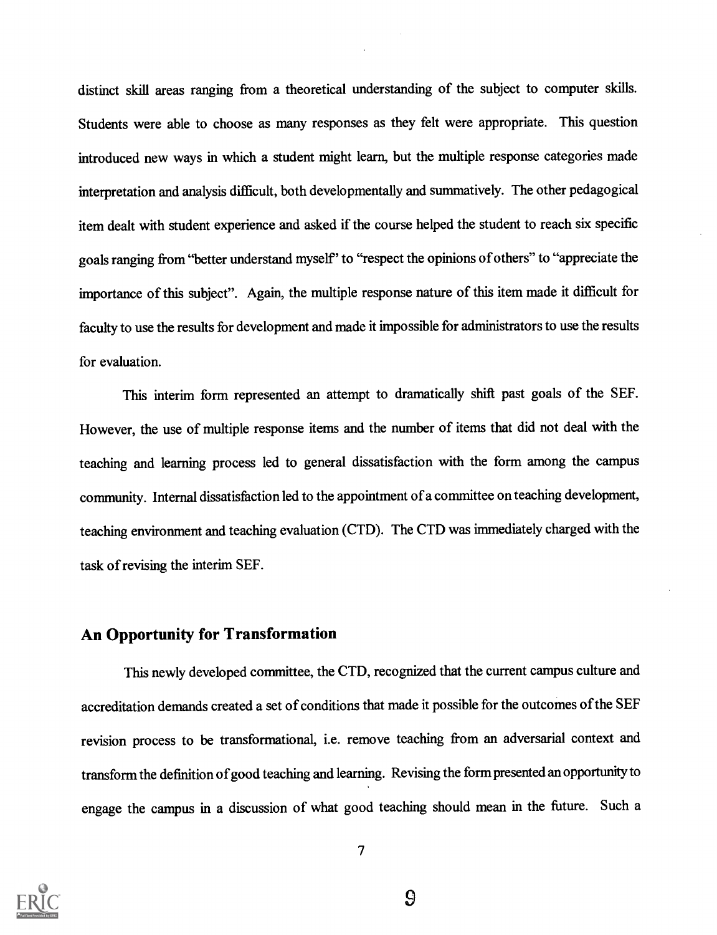distinct skill areas ranging from a theoretical understanding of the subject to computer skills. Students were able to choose as many responses as they felt were appropriate. This question introduced new ways in which a student might learn, but the multiple response categories made interpretation and analysis difficult, both developmentally and summatively. The other pedagogical item dealt with student experience and asked if the course helped the student to reach six specific goals ranging from "better understand myself' to "respect the opinions of others" to "appreciate the importance of this subject". Again, the multiple response nature of this item made it difficult for faculty to use the results for development and made it impossible for administrators to use the results for evaluation.

This interim form represented an attempt to dramatically shift past goals of the SEF. However, the use of multiple response items and the number of items that did not deal with the teaching and learning process led to general dissatisfaction with the form among the campus community. Internal dissatisfaction led to the appointment of a committee on teaching development, teaching environment and teaching evaluation (CTD). The CTD was immediately charged with the task of revising the interim SEF.

# An Opportunity for Transformation

This newly developed committee, the CTD, recognized that the current campus culture and accreditation demands created a set of conditions that made it possible for the outcomes of the SEF revision process to be transformational, i.e. remove teaching from an adversarial context and transform the definition of good teaching and learning. Revising the form presented an opportunity to engage the campus in a discussion of what good teaching should mean in the future. Such a



 $\overline{S}$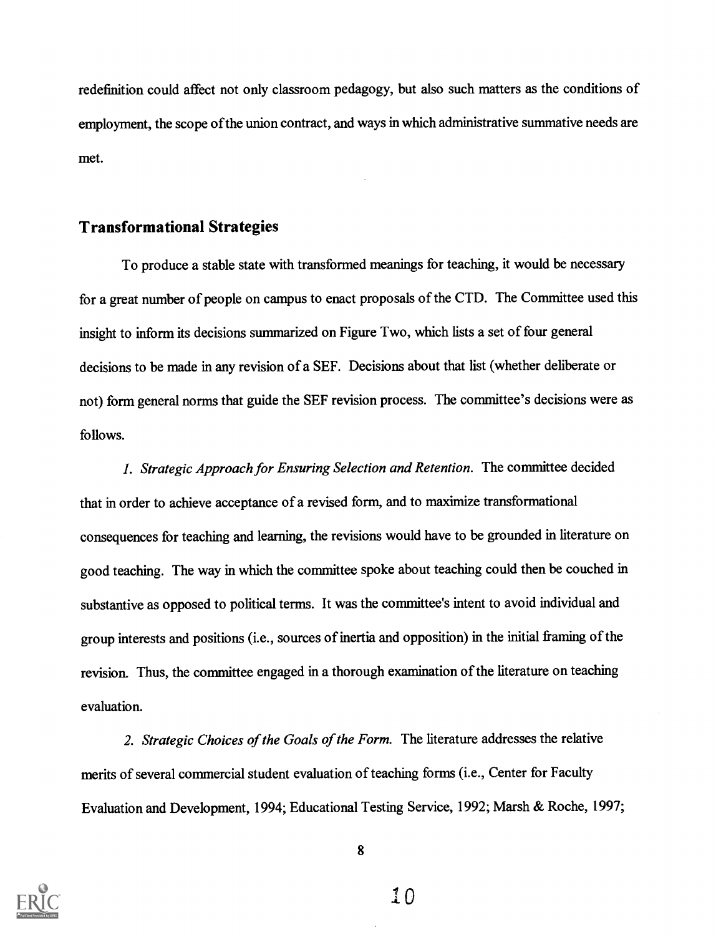redefinition could affect not only classroom pedagogy, but also such matters as the conditions of employment, the scope of the union contract, and ways in which administrative summative needs are met.

## Transformational Strategies

To produce a stable state with transformed meanings for teaching, it would be necessary for a great number of people on campus to enact proposals of the CTD. The Committee used this insight to inform its decisions summarized on Figure Two, which lists a set of four general decisions to be made in any revision of a SEF. Decisions about that list (whether deliberate or not) form general norms that guide the SEF revision process. The committee's decisions were as follows.

1. Strategic Approach for Ensuring Selection and Retention. The committee decided that in order to achieve acceptance of a revised form, and to maximize transformational consequences for teaching and learning, the revisions would have to be grounded in literature on good teaching. The way in which the committee spoke about teaching could then be couched in substantive as opposed to political terms. It was the committee's intent to avoid individual and group interests and positions (i.e., sources of inertia and opposition) in the initial framing of the revision. Thus, the committee engaged in a thorough examination of the literature on teaching evaluation.

2. Strategic Choices of the Goals of the Form. The literature addresses the relative merits of several commercial student evaluation of teaching forms (i.e., Center for Faculty Evaluation and Development, 1994; Educational Testing Service, 1992; Marsh & Roche, 1997;

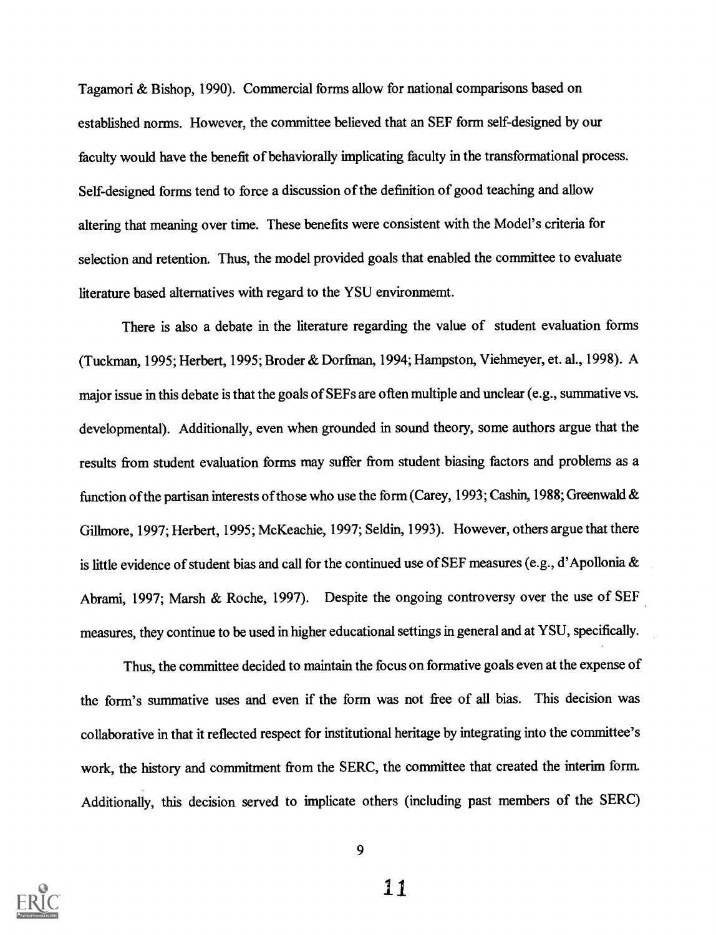Tagamori & Bishop, 1990). Commercial forms allow for national comparisons based on established norms. However, the committee believed that an SEF form self-designed by our faculty would have the benefit of behaviorally implicating faculty in the transformational process. Self-designed forms tend to force a discussion of the definition of good teaching and allow altering that meaning over time. These benefits were consistent with the Model's criteria for selection and retention. Thus, the model provided goals that enabled the committee to evaluate literature based alternatives with regard to the YSU environmemt.

There is also a debate in the literature regarding the value of student evaluation forms (Tuckman, 1995; Herbert, 1995; Broder & Dorfman, 1994; Hampston, Viehmeyer, et. al., 1998). A major issue in this debate is that the goals of SEFs are often multiple and unclear (e.g., summative vs. developmental). Additionally, even when grounded in sound theory, some authors argue that the results from student evaluation forms may suffer from student biasing factors and problems as a function of the partisan interests of those who use the form (Carey, 1993; Cashin, 1988; Greenwald & Gillmore, 1997; Herbert, 1995; McKeachie, 1997; Seldin, 1993). However, others argue that there is little evidence of student bias and call for the continued use of SEF measures (e.g., d'Apollonia & Abrami, 1997; Marsh & Roche, 1997). Despite the ongoing controversy over the use of SEF measures, they continue to be used in higher educational settings in generaland at YSU, specifically.

Thus, the committee decided to maintain the focus on formative goals even at the expense of the form's sumrnative uses and even if the form was not free of all bias. This decision was collaborative in that it reflected respect for institutional heritage by integrating into the committee's work, the history and commitment from the SERC, the committee that created the interim form. Additionally, this decision served to implicate others (including past members of the SERC)

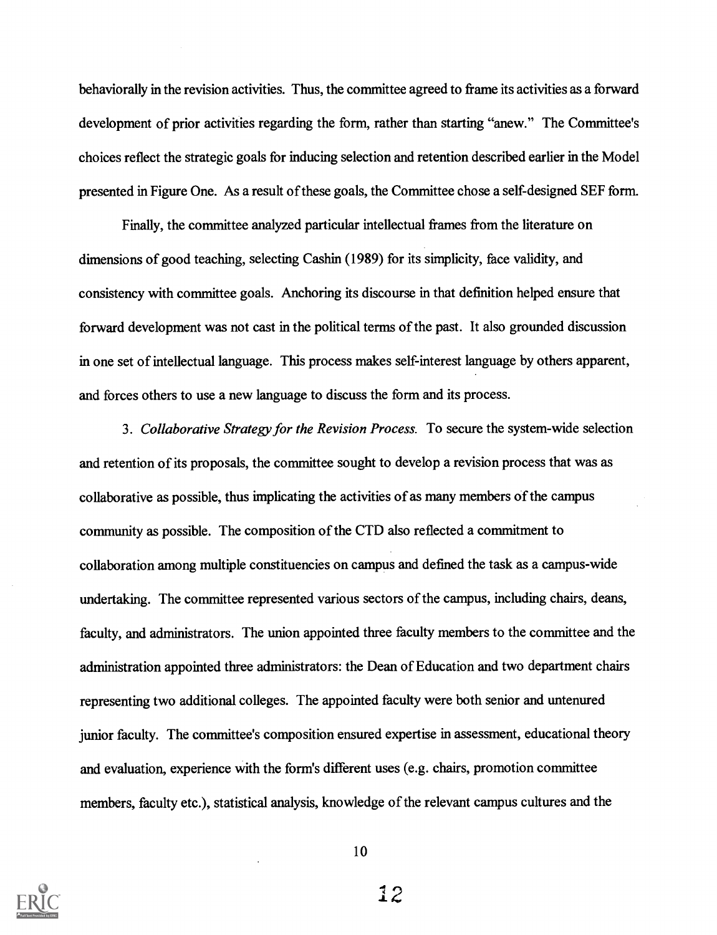behaviorally in the revision activities. Thus, the committee agreed to frame its activities as a forward development of prior activities regarding the form, rather than starting "anew." The Committee's choices reflect the strategic goals for inducing selection and retention described earlier in the Model presented in Figure One. As a result of these goals, the Committee chose a self-designed SEF form.

Finally, the committee analyzed particular intellectual frames from the literature on dimensions of good teaching, selecting Cashin (1989) for its simplicity, face validity, and consistency with committee goals. Anchoring its discourse in that definition helped ensure that forward development was not cast in the political terms of the past. It also grounded discussion in one set of intellectual language. This process makes self-interest language by others apparent, and forces others to use a new language to discuss the form and its process.

3. Collaborative Strategy for the Revision Process. To secure the system-wide selection and retention of its proposals, the committee sought to develop a revision process that was as collaborative as possible, thus implicating the activities of as many members of the campus community as possible. The composition of the CTD also reflected a commitment to collaboration among multiple constituencies on campus and defined the task as a campus-wide undertaking. The committee represented various sectors of the campus, including chairs, deans, faculty, and administrators. The union appointed three faculty members to the committee and the administration appointed three administrators: the Dean of Education and two department chairs representing two additional colleges. The appointed faculty were both senior and untenured junior faculty. The committee's composition ensured expertise in assessment, educational theory and evaluation, experience with the form's different uses (e.g. chairs, promotion committee members, faculty etc.), statistical analysis, knowledge of the relevant campus cultures and the



10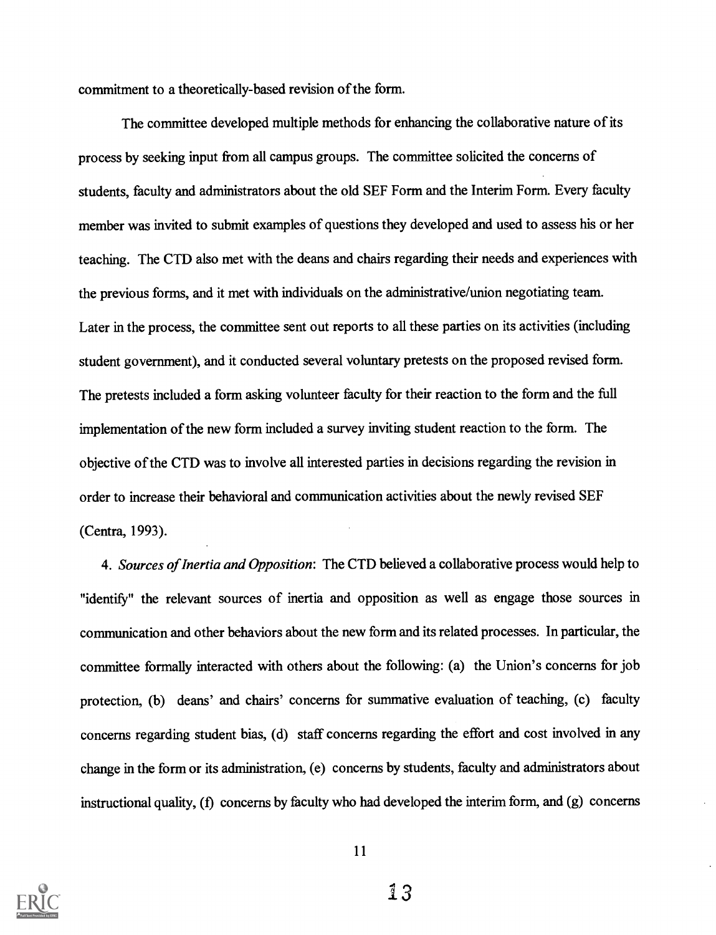commitment to a theoretically-based revision of the form.

The committee developed multiple methods for enhancing the collaborative nature of its process by seeking input from all campus groups. The committee solicited the concerns of students, faculty and administrators about the old SEF Form and the Interim Form. Every faculty member was invited to submit examples of questions they developed and used to assess his or her teaching. The CTD also met with the deans and chairs regarding their needs and experiences with the previous forms, and it met with individuals on the administrative/union negotiating team. Later in the process, the committee sent out reports to all these parties on its activities (including student government), and it conducted several voluntary pretests on the proposed revised form. The pretests included a form asking volunteer faculty for their reaction to the form and the full implementation of the new form included a survey inviting student reaction to the form. The objective of the CTD was to involve all interested parties in decisions regarding the revision in order to increase their behavioral and communication activities about the newly revised SEF (Centra, 1993).

4. Sources of Inertia and Opposition: The CTD believed a collaborative process would help to "identify" the relevant sources of inertia and opposition as well as engage those sources in communication and other behaviors about the new form and its related processes. In particular, the committee formally interacted with others about the following: (a) the Union's concerns for job protection, (b) deans' and chairs' concerns for summative evaluation of teaching, (c) faculty concerns regarding student bias, (d) staff concerns regarding the effort and cost involved in any change in the form or its administration, (e) concerns by students, faculty and administrators about instructional quality, (f) concerns by faculty who had developed the interim form, and (g) concerns

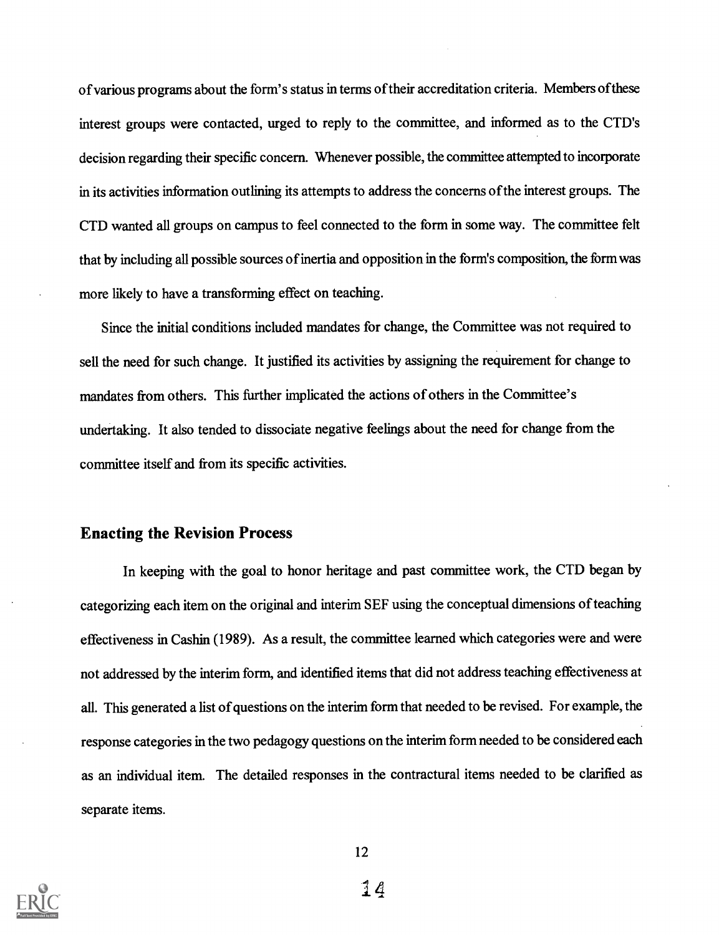of various programs about the form's status in terms of their accreditation criteria. Members ofthese interest groups were contacted, urged to reply to the committee, and informed as to the CTD's decision regarding their specific concern. Whenever possible, the committee attempted to incorporate in its activities information outlining its attempts to address the concerns of the interest groups. The CTD wanted all groups on campus to feel connected to the form in some way. The committee felt that by including all possible sources of inertia and opposition in the form's composition, the form was more likely to have a transforming effect on teaching.

Since the initial conditions included mandates for change, the Committee was not required to sell the need for such change. It justified its activities by assigning the requirement for change to mandates from others. This further implicated the actions of others in the Committee's undertaking. It also tended to dissociate negative feelings about the need for change from the committee itself and from its specific activities.

## Enacting the Revision Process

In keeping with the goal to honor heritage and past committee work, the CTD began by categorizing each item on the original and interim SEF using the conceptual dimensions of teaching effectiveness in Cashin (1989). As a result, the committee learned which categories were and were not addressed by the interim form, and identified items that did not address teaching effectiveness at all. This generated a list of questions on the interim form that needed to be revised. For example, the response categories in the two pedagogy questions on the interim form needed to be considered each as an individual item. The detailed responses in the contractural items needed to be clarified as separate items.

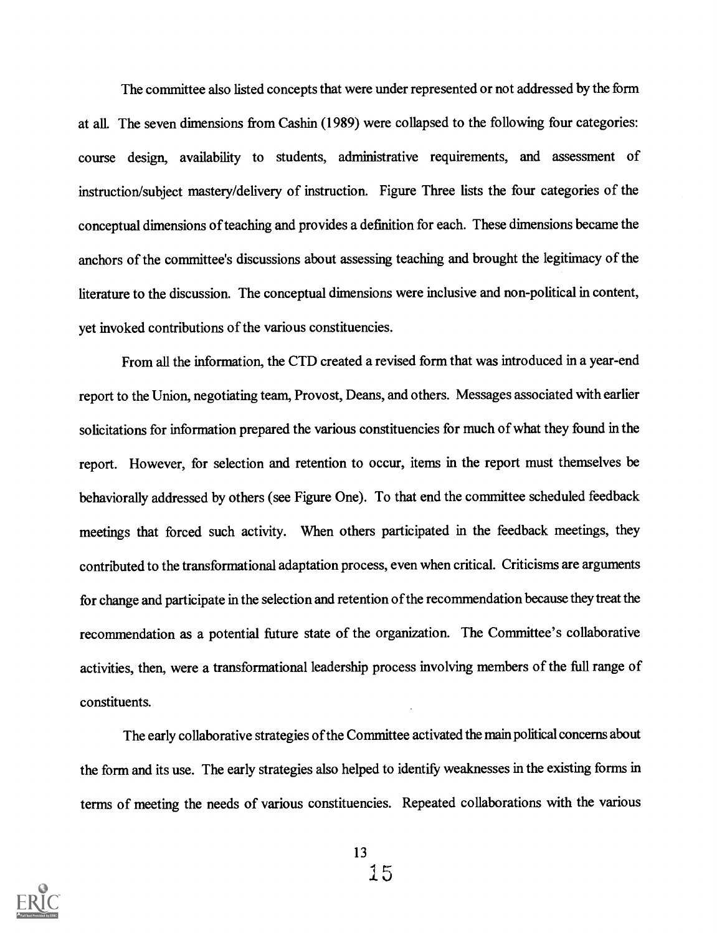The committee also listed concepts that were under represented or not addressed by the form at all. The seven dimensions from Cashin (1989) were collapsed to the following four categories: course design, availability to students, administrative requirements, and assessment of instruction/subject mastery/delivery of instruction. Figure Three lists the four categories of the conceptual dimensions of teaching and provides a definition for each. These dimensions became the anchors of the committee's discussions about assessing teaching and brought the legitimacy of the literature to the discussion. The conceptual dimensions were inclusive and non-political in content, yet invoked contributions of the various constituencies.

From all the information, the CTD created a revised form that was introduced in a year-end report to the Union, negotiating team, Provost, Deans, and others. Messages associated with earlier solicitations for information prepared the various constituencies for much of what they found in the report. However, for selection and retention to occur, items in the report must themselves be behaviorally addressed by others (see Figure One). To that end the committee scheduled feedback meetings that forced such activity. When others participated in the feedback meetings, they contributed to the transformational adaptation process, even when critical. Criticisms are arguments for change and participate in the selection and retention of the recommendation because they treat the recommendation as a potential future state of the organization. The Committee's collaborative activities, then, were a transformational leadership process involving members of the full range of constituents.

The early collaborative strategies of the Committee activated the main political concerns about the form and its use. The early strategies also helped to identify weaknesses in the existing forms in terms of meeting the needs of various constituencies. Repeated collaborations with the various

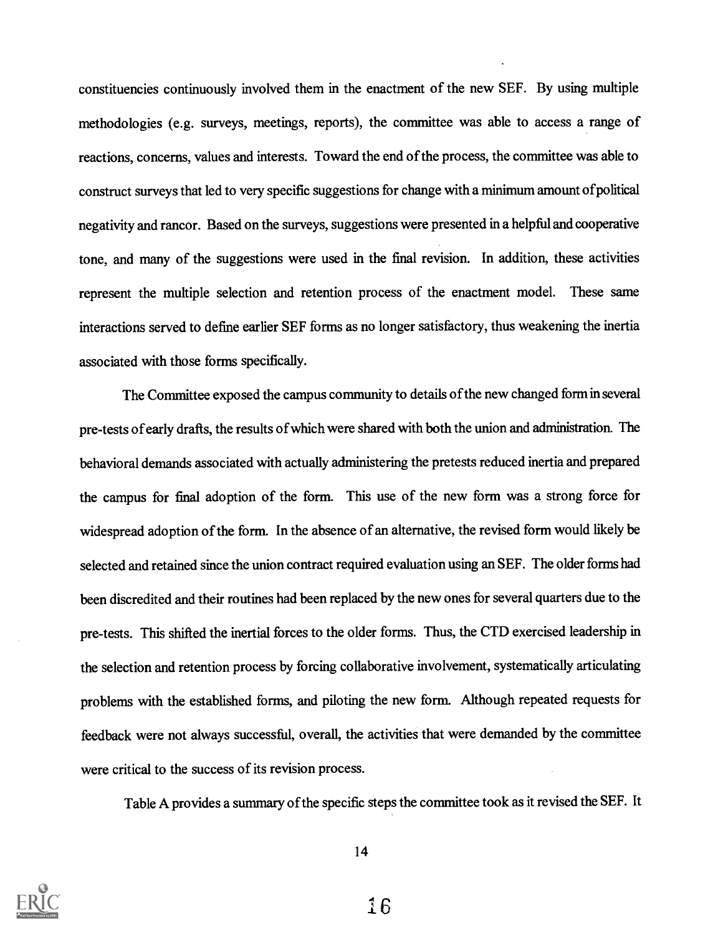constituencies continuously involved them in the enactment of the new SEF. By using multiple methodologies (e.g. surveys, meetings, reports), the committee was able to access a range of reactions, concerns, values and interests. Toward the end of the process, the committee was able to construct surveys that led to very specific suggestions for change with a minimum amount ofpolitical negativity and rancor. Based on the surveys, suggestions were presented in a helpful and cooperative tone, and many of the suggestions were used in the final revision. In addition, these activities represent the multiple selection and retention process of the enactment model. These same interactions served to define earlier SEF forms as no longer satisfactory, thus weakening the inertia associated with those forms specifically.

The Committee exposed the campus community to details of the new changed form in several pre-tests of early drafts, the results of which were shared with both the union and administration. The behavioral demands associated with actually administering the pretests reduced inertia and prepared the campus for final adoption of the form. This use of the new form was a strong force for widespread adoption of the form. In the absence of an alternative, the revised form would likely be selected and retained since the union contract required evaluation using an SEF. The older forms had been discredited and their routines had been replaced by the new ones for several quarters due to the pre-tests. This shifted the inertial forces to the older forms. Thus, the CTD exercised leadership in the selection and retention process by forcing collaborative involvement, systematically articulating problems with the established forms, and piloting the new form. Although repeated requests for feedback were not always successful, overall, the activities that were demanded by the committee were critical to the success of its revision process.

Table A provides a summary of the specific steps the committee took as it revised the SEF. It



14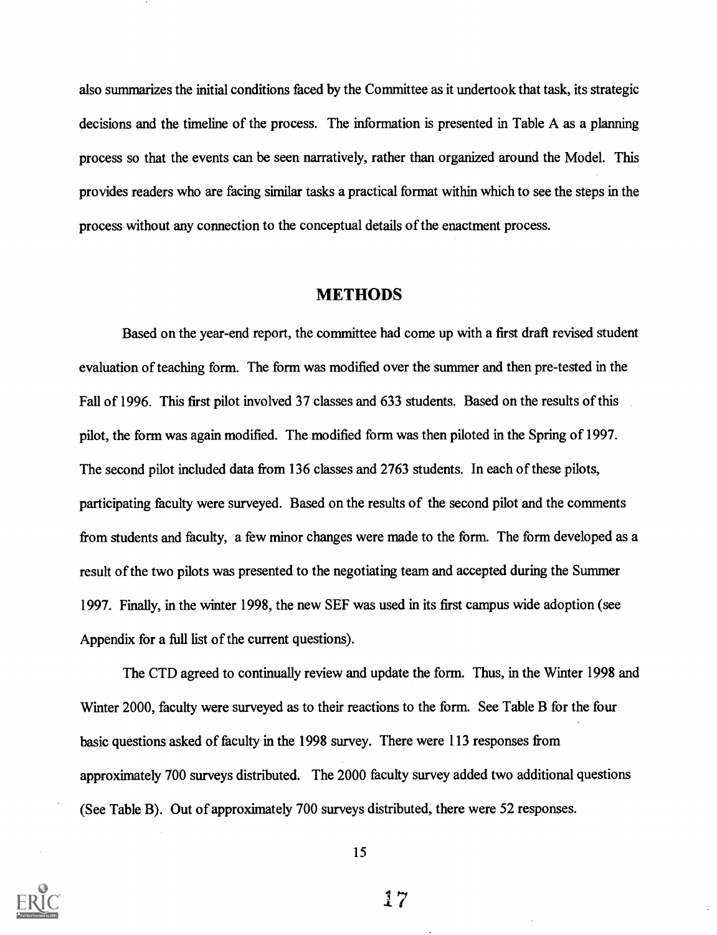also summarizes the initial conditions faced by the Committee as it undertook that task, its strategic decisions and the timeline of the process. The information is presented in Table A as a planning process so that the events can be seen narratively, rather than organized around the Model. This provides readers who are facing similar tasks a practical format within which to see the steps in the process without any connection to the conceptual details of the enactment process.

## METHODS

Based on the year-end report, the committee had come up with a first draft revised student evaluation of teaching form. The form was modified over the summer and then pre-tested in the Fall of 1996. This first pilot involved 37 classes and 633 students. Based on the results of this pilot, the form was again modified. The modified form was then piloted in the Spring of 1997. The second pilot included data from 136 classes and 2763 students. In each of these pilots, participating faculty were surveyed. Based on the results of the second pilot and the comments from students and faculty, a few minor changes were made to the form. The form developed as a result of the two pilots was presented to the negotiating team and accepted during the Summer 1997. Finally, in the winter 1998, the new SEF was used in its first campus wide adoption (see Appendix for a full list of the current questions).

The CTD agreed to continually review and update the form. Thus, in the Winter 1998 and Winter 2000, faculty were surveyed as to their reactions to the form. See Table B for the four basic questions asked of faculty in the 1998 survey. There were 113 responses from approximately 700 surveys distributed. The 2000 faculty survey added two additional questions (See Table B). Out of approximately 700 surveys distributed, there were 52 responses.



15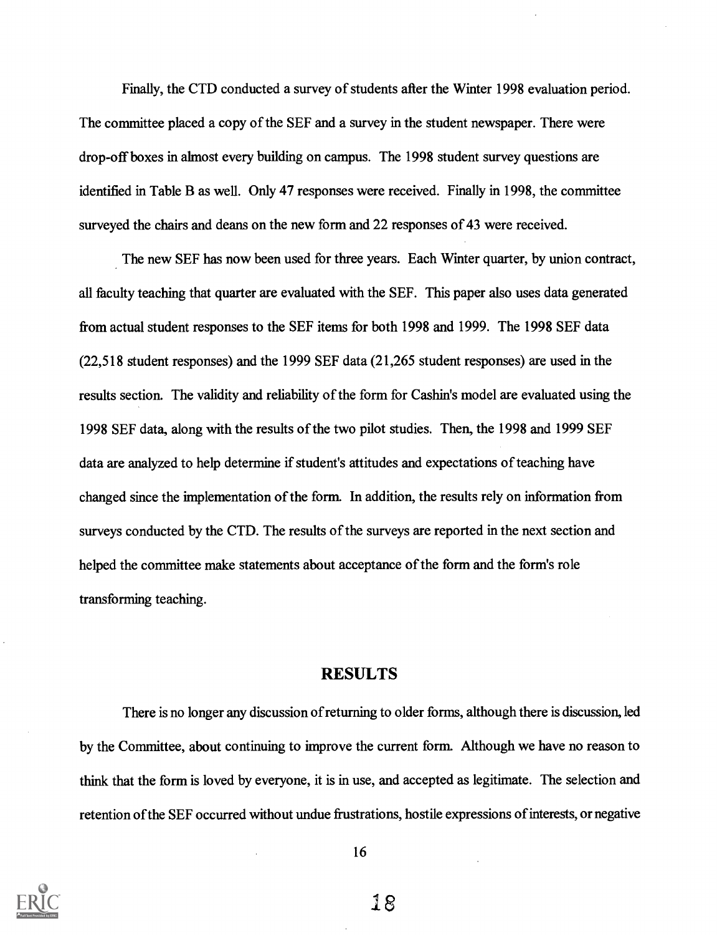Finally, the CTD conducted a survey of students after the Winter 1998 evaluation period. The committee placed a copy of the SEF and a survey in the student newspaper. There were drop-off boxes in almost every building on campus. The 1998 student survey questions are identified in Table B as well. Only 47 responses were received. Finally in 1998, the committee surveyed the chairs and deans on the new form and 22 responses of 43 were received.

The new SEF has now been used for three years. Each Winter quarter, by union contract, all faculty teaching that quarter are evaluated with the SEF. This paper also uses data generated from actual student responses to the SEF items for both 1998 and 1999. The 1998 SEF data (22,518 student responses) and the 1999 SEF data (21,265 student responses) are used in the results section. The validity and reliability of the form for Cashin's model are evaluated using the 1998 SEF data, along with the results of the two pilot studies. Then, the 1998 and 1999 SEF data are analyzed to help determine if student's attitudes and expectations of teaching have changed since the implementation of the form. In addition, the results rely on information from surveys conducted by the CTD. The results of the surveys are reported in the next section and helped the committee make statements about acceptance of the form and the form's role transforming teaching.

## RESULTS

There is no longer any discussion of returning to older forms, although there is discussion, led by the Committee, about continuing to improve the current form. Although we have no reason to think that the form is loved by everyone, it is in use, and accepted as legitimate. The selection and retention of the SEF occurred without undue frustrations, hostile expressions of interests, or negative



16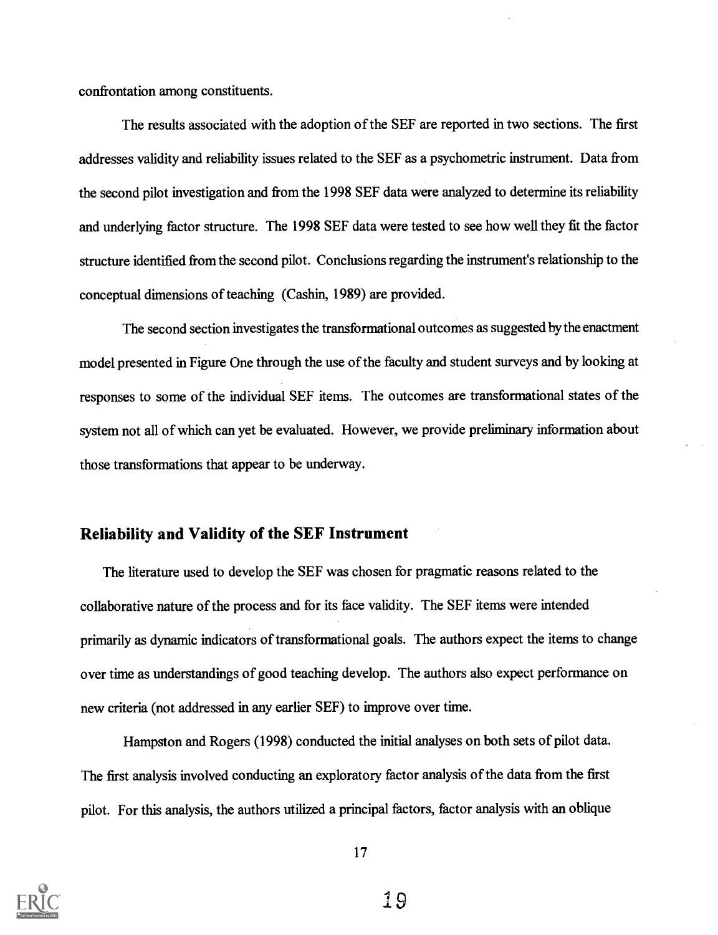confrontation among constituents.

The results associated with the adoption of the SEF are reported in two sections. The first addresses validity and reliability issues related to the SEF as a psychometric instrument. Data from the second pilot investigation and from the 1998 SEF data were analyzed to determine its reliability and underlying factor structure. The 1998 SEF data were tested to see how well they fit the factor structure identified from the second pilot. Conclusions regarding the instrument's relationship to the conceptual dimensions of teaching (Cashin, 1989) are provided.

The second section investigates the transformational outcomes as suggested by the enactment model presented in Figure One through the use of the faculty and student surveys and by looking at responses to some of the individual SEF items. The outcomes are transformational states of the system not all of which can yet be evaluated. However, we provide preliminary information about those transformations that appear to be underway.

# Reliability and Validity of the SEF Instrument

The literature used to develop the SEF was chosen for pragmatic reasons related to the collaborative nature of the process and for its face validity. The SEF items were intended primarily as dynamic indicators of transformational goals. The authors expect the items to change over time as understandings of good teaching develop. The authors also expect performance on new criteria (not addressed in any earlier SEF) to improve over time.

Hampston and Rogers (1998) conducted the initial analyses on both sets of pilot data. The first analysis involved conducting an exploratory factor analysis of the data from the first pilot. For this analysis, the authors utilized a principal factors, factor analysis with an oblique

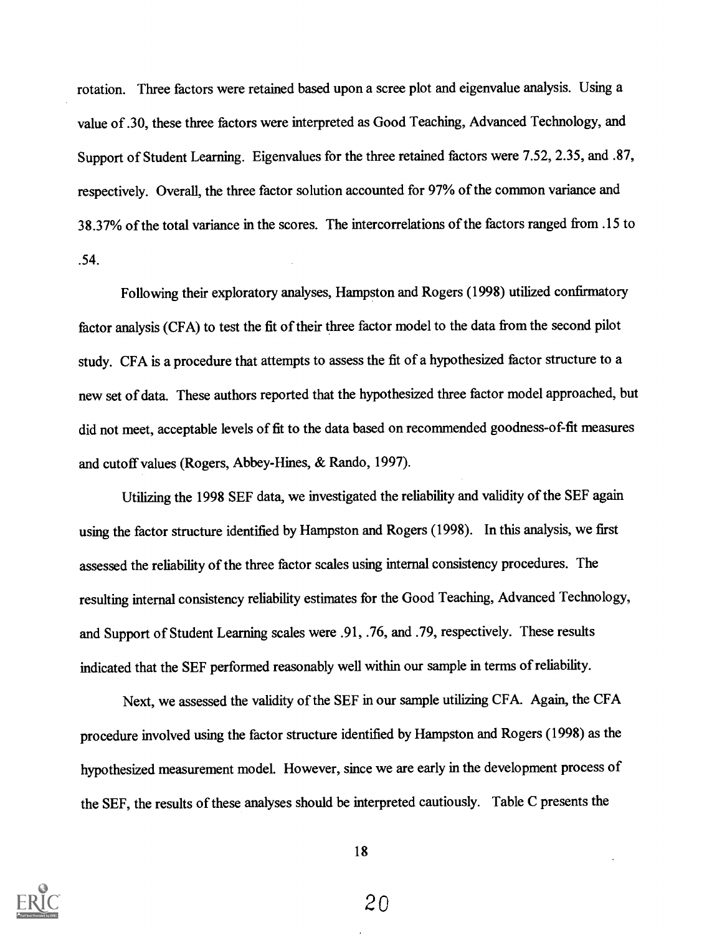rotation. Three factors were retained based upon a scree plot and eigenvalue analysis. Using a value of .30, these three factors were interpreted as Good Teaching, Advanced Technology, and Support of Student Learning. Eigenvalues for the three retained factors were 7.52, 2.35, and .87, respectively. Overall, the three factor solution accounted for 97% of the common variance and 38.37% of the total variance in the scores. The intercorrelations of the factors ranged from .15 to .54.

Following their exploratory analyses, Hampston and Rogers (1998) utilized confirmatory factor analysis (CFA) to test the fit of their three factor model to the data from the second pilot study. CFA is a procedure that attempts to assess the fit of a hypothesized factor structure to a new set of data. These authors reported that the hypothesized three factor model approached, but did not meet, acceptable levels of fit to the data based on recommended goodness-of-fit measures and cutoff values (Rogers, Abbey-Hines, & Rando, 1997).

Utilizing the 1998 SEF data, we investigated the reliability and validity of the SEF again using the factor structure identified by Hampston and Rogers (1998). In this analysis, we first assessed the reliability of the three factor scales using internal consistency procedures. The resulting internal consistency reliability estimates for the Good Teaching, Advanced Technology, and Support of Student Learning scales were .91, .76, and .79, respectively. These results indicated that the SEF performed reasonably well within our sample in terms of reliability.

Next, we assessed the validity of the SEF in our sample utilizing CFA. Again, the CFA procedure involved using the factor structure identified by Hampston and Rogers (1998) as the hypothesized measurement model. However, since we are early in the development process of the SEF, the results of these analyses should be interpreted cautiously. Table C presents the



18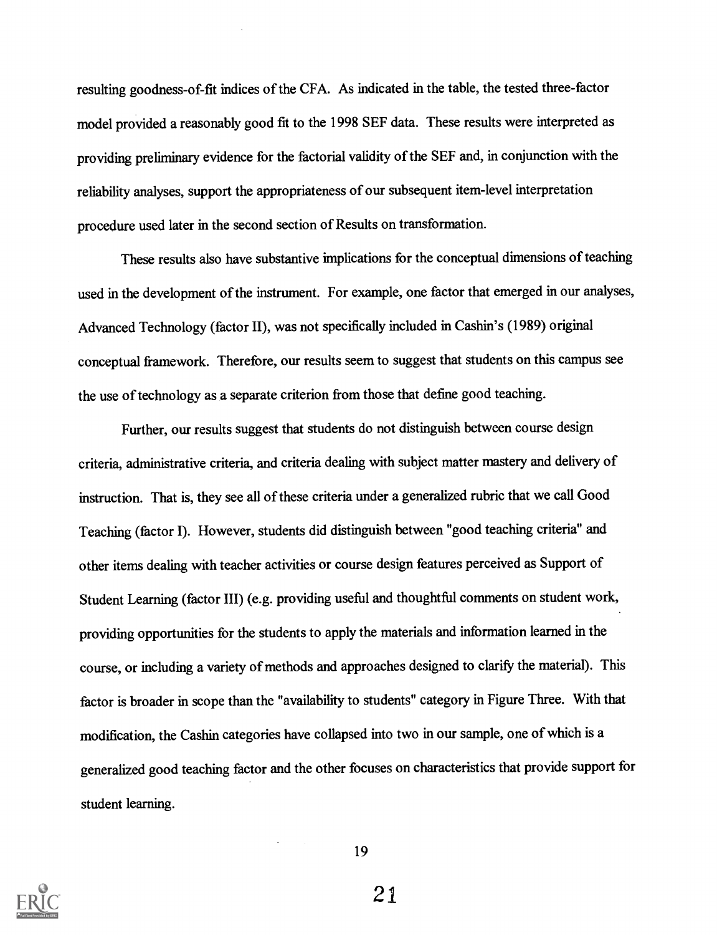resulting goodness-of-fit indices of the CFA. As indicated in the table, the tested three-factor model provided a reasonably good fit to the 1998 SEF data. These results were interpreted as providing preliminary evidence for the factorial validity of the SEF and, in conjunction with the reliability analyses, support the appropriateness of our subsequent item-level interpretation procedure used later in the second section of Results on transformation.

These results also have substantive implications for the conceptual dimensions of teaching used in the development of the instrument. For example, one factor that emerged in our analyses, Advanced Technology (factor II), was not specifically included in Cashin's (1989) original conceptual framework. Therefore, our results seem to suggest that students on this campus see the use of technology as a separate criterion from those that define good teaching.

Further, our results suggest that students do not distinguish between course design criteria, administrative criteria, and criteria dealing with subject matter mastery and delivery of instruction. That is, they see all of these criteria under a generalized rubric that we call Good Teaching (factor I). However, students did distinguish between "good teaching criteria" and other items dealing with teacher activities or course design features perceived as Support of Student Learning (factor III) (e.g. providing useful and thoughtful comments on student work, providing opportunities for the students to apply the materials and information learned in the course, or including a variety of methods and approaches designed to clarify the material). This factor is broader in scope than the "availability to students" category in Figure Three. With that modification, the Cashin categories have collapsed into two in our sample, one of which is a generalized good teaching factor and the other focuses on characteristics that provide support for student learning.



19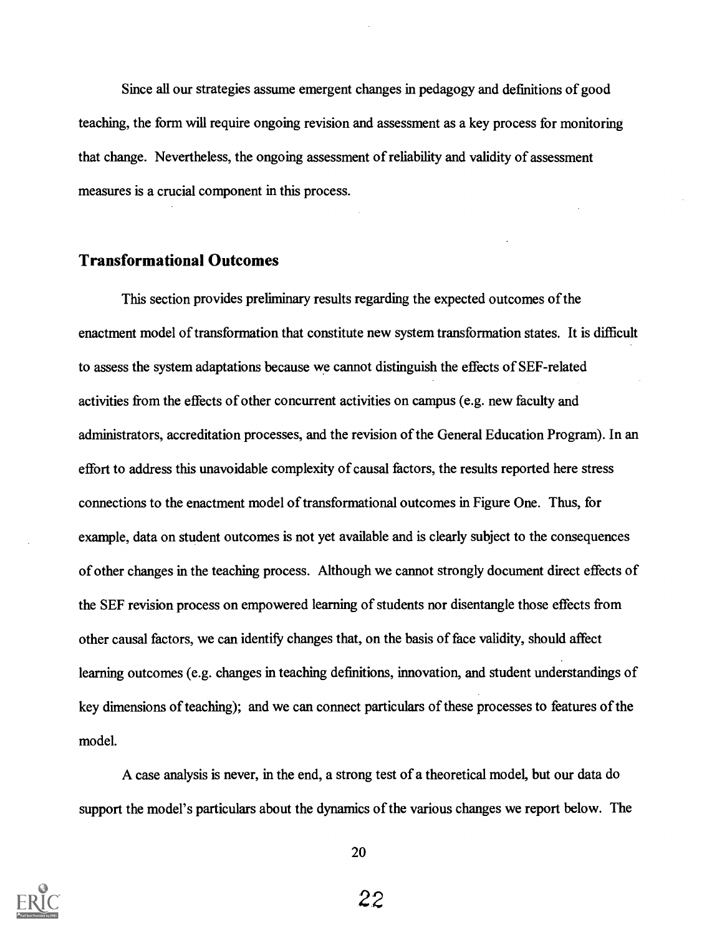Since all our strategies assume emergent changes in pedagogy and definitions of good teaching, the form will require ongoing revision and assessment as a key process for monitoring that change. Nevertheless, the ongoing assessment of reliability and validity of assessment measures is a crucial component in this process.

## Transformational Outcomes

This section provides preliminary results regarding the expected outcomes of the enactment model of transformation that constitute new system transformation states. It is difficult to assess the system adaptations because we cannot distinguish the effects of SEF-related activities from the effects of other concurrent activities on campus (e.g. new faculty and administrators, accreditation processes, and the revision of the General Education Program). In an effort to address this unavoidable complexity of causal factors, the results reported here stress connections to the enactment model of transformational outcomes in Figure One. Thus, for example, data on student outcomes is not yet available and is clearly subject to the consequences of other changes in the teaching process. Although we cannot strongly document direct effects of the SEF revision process on empowered learning of students nor disentangle those effects from other causal factors, we can identify changes that, on the basis of face validity, should affect learning outcomes (e.g. changes in teaching definitions, innovation, and student understandings of key dimensions of teaching); and we can connect particulars of these processes to features of the model.

A case analysis is never, in the end, a strong test of a theoretical model, but our data do support the model's particulars about the dynamics of the various changes we report below. The



20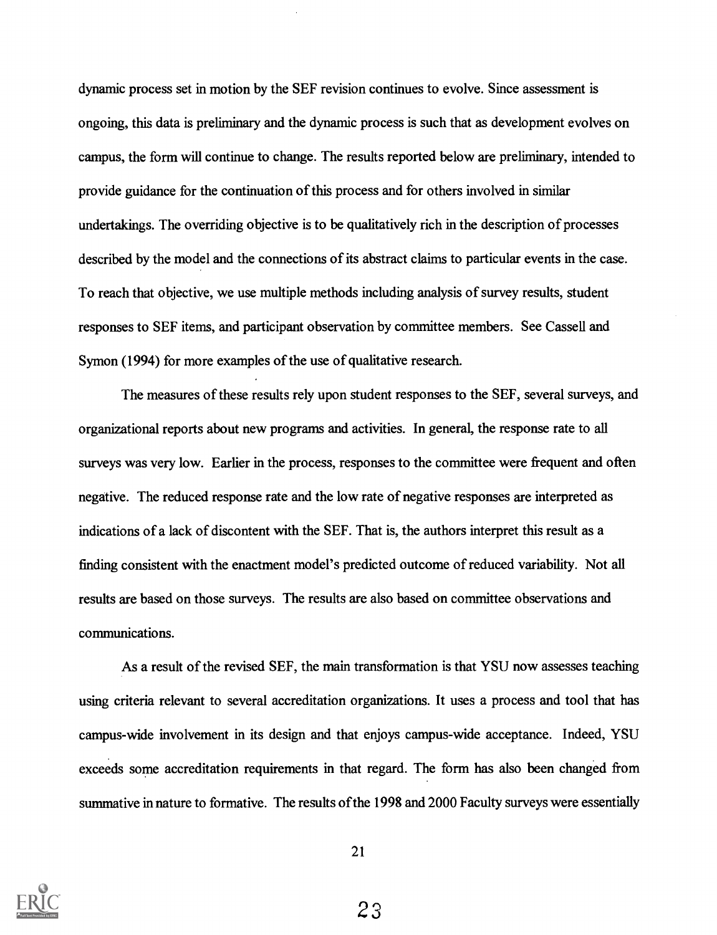dynamic process set in motion by the SEF revision continues to evolve. Since assessment is ongoing, this data is preliminary and the dynamic process is such that as development evolves on campus, the form will continue to change. The results reported below are preliminary, intended to provide guidance for the continuation of this process and for others involved in similar undertakings. The overriding objective is to be qualitatively rich in the description of processes described by the model and the connections of its abstract claims to particular events in the case. To reach that objective, we use multiple methods including analysis of survey results, student responses to SEF items, and participant observation by committee members. See Cassell and Symon (1994) for more examples of the use of qualitative research.

The measures of these results rely upon student responses to the SEF, several surveys, and organizational reports about new programs and activities. In general, the response rate to all surveys was very low. Earlier in the process, responses to the committee were frequent and often negative. The reduced response rate and the low rate of negative responses are interpreted as indications of a lack of discontent with the SEF. That is, the authors interpret this result as a finding consistent with the enactment model's predicted outcome of reduced variability. Not all results are based on those surveys. The results are also based on committee observations and communications.

As a result of the revised SEF, the main transformation is that YSU now assesses teaching using criteria relevant to several accreditation organizations. It uses a process and tool that has campus-wide involvement in its design and that enjoys campus-wide acceptance. Indeed, YSU exceeds some accreditation requirements in that regard. The form has also been changed from summative in nature to formative. The results of the 1998 and 2000 Faculty surveys were essentially

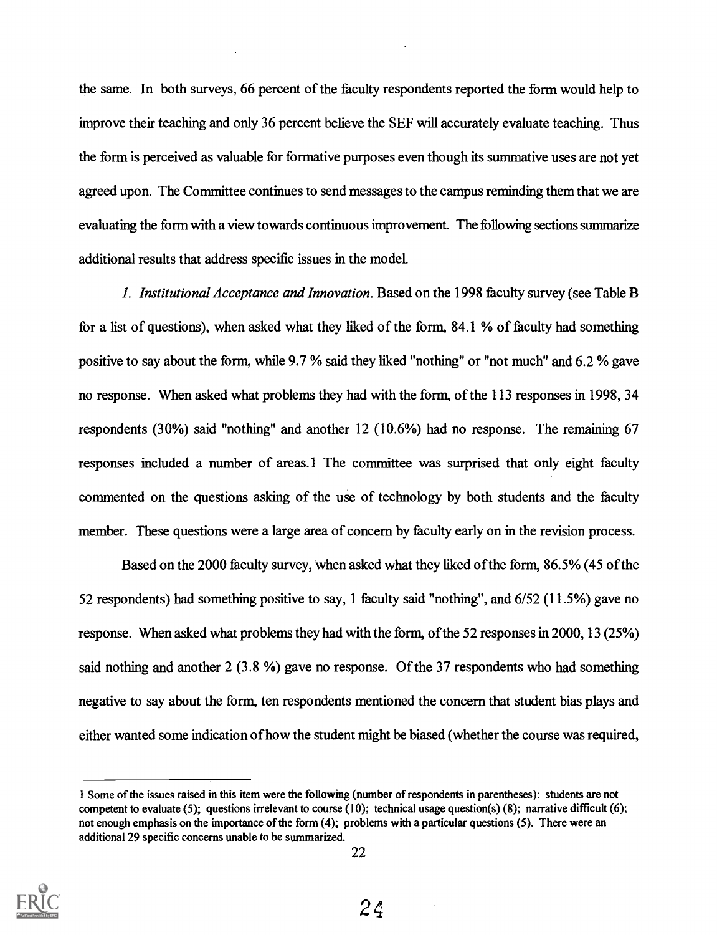the same. In both surveys, 66 percent of the faculty respondents reported the form would help to improve their teaching and only 36 percent believe the SEF will accurately evaluate teaching. Thus the form is perceived as valuable for formative purposes even though its summative uses are not yet agreed upon. The Committee continues to send messages to the campus reminding them that we are evaluating the form with a view towards continuous improvement. The following sections summarize additional results that address specific issues in the model.

1. Institutional Acceptance and Innovation. Based on the 1998 faculty survey (see Table B for a list of questions), when asked what they liked of the form, 84.1 % of faculty had something positive to say about the form, while 9.7 % said they liked "nothing" or "not much" and 6.2 % gave no response. When asked what problems they had with the form, of the 113 responses in 1998, 34 respondents (30%) said "nothing" and another 12 (10.6%) had no response. The remaining 67 responses included a number of areas.1 The committee was surprised that only eight faculty commented on the questions asking of the use of technology by both students and the faculty member. These questions were a large area of concern by faculty early on in the revision process.

Based on the 2000 faculty survey, when asked what they liked of the form, 86.5% (45 of the 52 respondents) had something positive to say, 1 faculty said "nothing", and 6/52 (11.5%) gave no response. When asked what problems they had with the form, of the 52 responses in 2000, 13 (25%) said nothing and another 2 (3.8 %) gave no response. Of the 37 respondents who had something negative to say about the form, ten respondents mentioned the concern that student bias plays and either wanted some indication of how the student might be biased (whether the course was required,

<sup>1</sup> Some of the issues raised in this item were the following (number of respondents in parentheses): students are not competent to evaluate (5); questions irrelevant to course (10); technical usage question(s) (8); narrative difficult (6); not enough emphasis on the importance of the form (4); problems with a particular questions (5). There were an additional 29 specific concerns unable to be summarized.

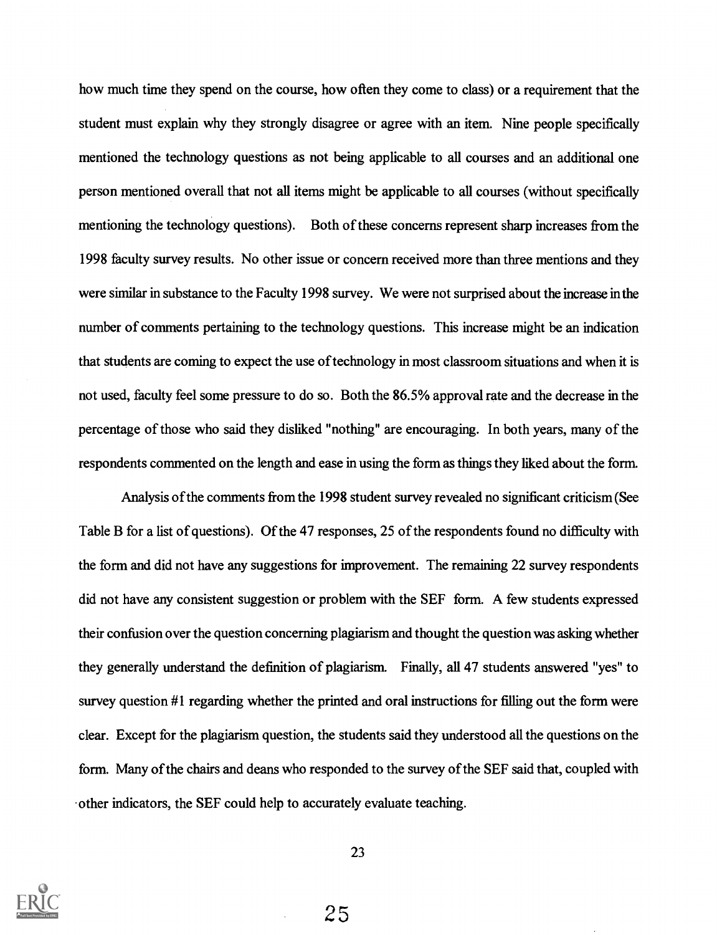how much time they spend on the course, how often they come to class) or a requirement that the student must explain why they strongly disagree or agree with an item. Nine people specifically mentioned the technology questions as not being applicable to all courses and an additional one person mentioned overall that not all items might be applicable to all courses (without specifically mentioning the technology questions). Both of these concerns represent sharp increases from the 1998 faculty survey results. No other issue or concern received more than three mentions and they were similar in substance to the Faculty 1998 survey. We were not surprised about the increase in the number of comments pertaining to the technology questions. This increase might be an indication that students are coming to expect the use of technology in most classroom situations and when it is not used, faculty feel some pressure to do so. Both the 86.5% approval rate and the decrease in the percentage of those who said they disliked "nothing" are encouraging. In both years, many of the respondents commented on the length and ease in using the form as things they liked about the form.

Analysis of the comments from the 1998 student survey revealed no significant criticism (See Table B for a list of questions). Of the 47 responses, 25 of the respondents found no difficulty with the form and did not have any suggestions for improvement. The remaining 22 survey respondents did not have any consistent suggestion or problem with the SEF form. A few students expressed their confusion over the question concerning plagiarism and thought the question was asking whether they generally understand the definition of plagiarism. Finally, all 47 students answered "yes" to survey question #1 regarding whether the printed and oral instructions for filling out the form were clear. Except for the plagiarism question, the students said they understood all the questions on the form. Many of the chairs and deans who responded to the survey of the SEF said that, coupled with other indicators, the SEF could help to accurately evaluate teaching.



23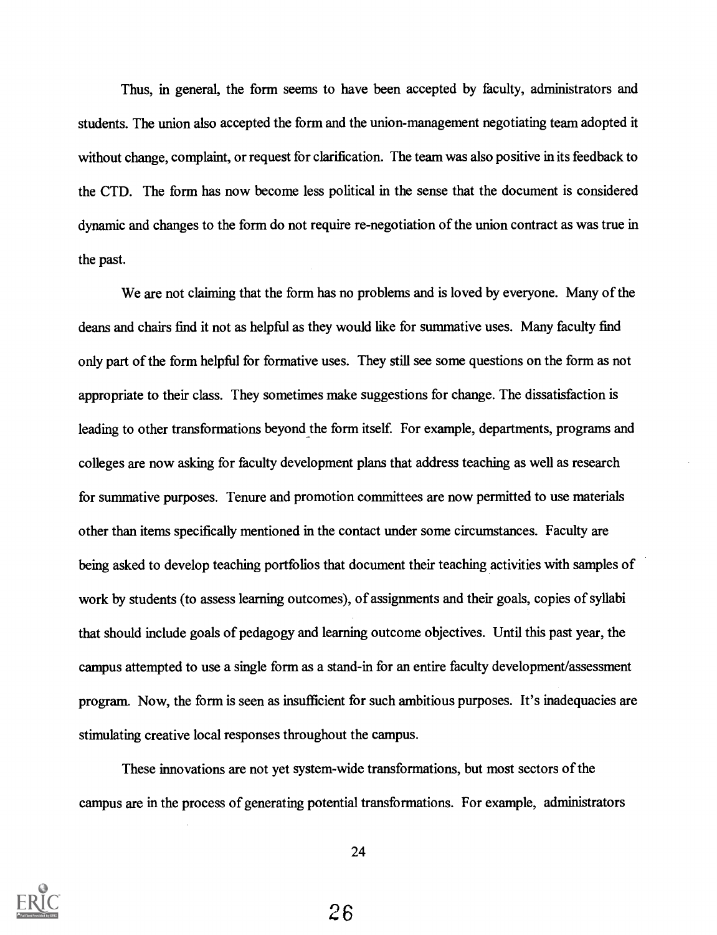Thus, in general, the form seems to have been accepted by faculty, administrators and students. The union also accepted the form and the union-management negotiating team adopted it without change, complaint, or request for clarification. The team was also positive in its feedback to the CTD. The form has now become less political in the sense that the document is considered dynamic and changes to the form do not require re-negotiation of the union contract as was true in the past.

We are not claiming that the form has no problems and is loved by everyone. Many of the deans and chairs find it not as helpful as they would like for summative uses. Many faculty find only part of the form helpful for formative uses. They still see some questions on the form as not appropriate to their class. They sometimes make suggestions for change. The dissatisfaction is leading to other transformations beyond the form itself. For example, departments, programs and colleges are now asking for faculty development plans that address teaching as well as research for summative purposes. Tenure and promotion committees are now permitted to use materials other than items specifically mentioned in the contact under some circumstances. Faculty are being asked to develop teaching portfolios that document their teaching activities with samples of work by students (to assess learning outcomes), of assignments and their goals, copies of syllabi that should include goals of pedagogy and learning outcome objectives. Until this past year, the campus attempted to use a single form as a stand-in for an entire faculty development/assessment program. Now, the form is seen as insufficient for such ambitious purposes. It's inadequacies are stimulating creative local responses throughout the campus.

These innovations are not yet system-wide transformations, but most sectors of the campus are in the process of generating potential transformations. For example, administrators



24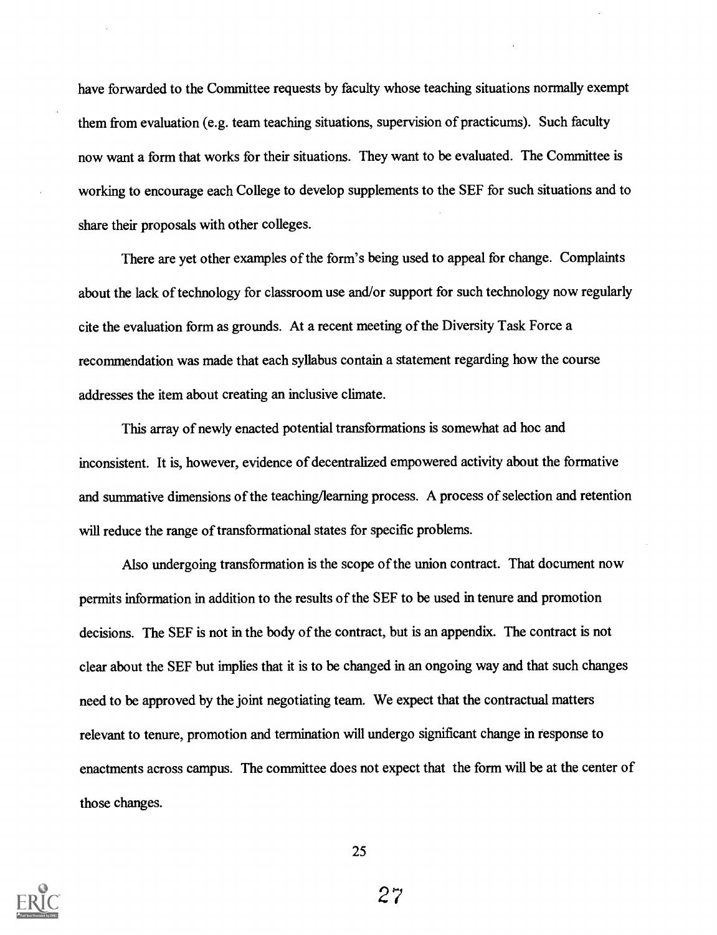have forwarded to the Committee requests by faculty whose teaching situations normally exempt them from evaluation (e.g. team teaching situations, supervision of practicums). Such faculty now want a form that works for their situations. They want to be evaluated. The Committee is working to encourage each College to develop supplements to the SEF for such situations and to share their proposals with other colleges.

There are yet other examples of the form's being used to appeal for change. Complaints about the lack of technology for classroom use and/or support for such technology now regularly cite the evaluation form as grounds. At a recent meeting of the Diversity Task Force a recommendation was made that each syllabus contain a statement regarding how the course addresses the item about creating an inclusive climate.

This array of newly enacted potential transformations is somewhat ad hoc and inconsistent. It is, however, evidence of decentralized empowered activity about the formative and summative dimensions of the teaching/learning process. A process of selection and retention will reduce the range of transformational states for specific problems.

Also undergoing transformation is the scope of the union contract. That document now permits information in addition to the results of the SEF to be used in tenure and promotion decisions. The SEF is not in the body of the contract, but is an appendix. The contract is not clear about the SEF but implies that it is to be changed in an ongoing way and that such changes need to be approved by the joint negotiating team. We expect that the contractual matters relevant to tenure, promotion and termination will undergo significant change in response to enactments across campus. The committee does not expect that the form will be at the center of those changes.

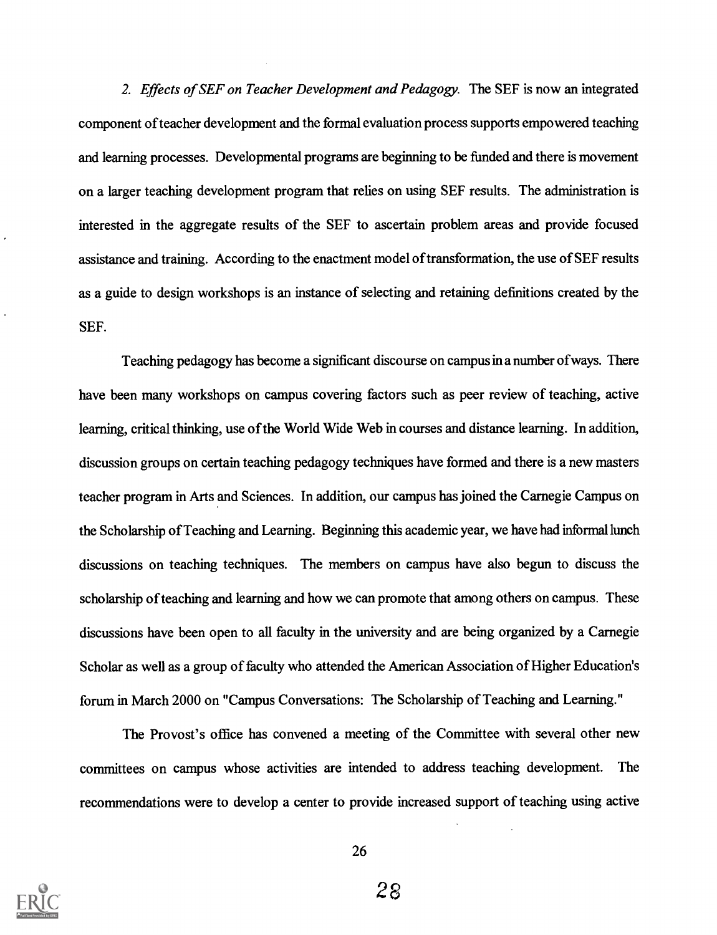2. Effects of SEF on Teacher Development and Pedagogy. The SEF is now an integrated component of teacher development and the formal evaluation process supports empowered teaching and learning processes. Developmental programs are beginning to be funded and there is movement on a larger teaching development program that relies on using SEF results. The administration is interested in the aggregate results of the SEF to ascertain problem areas and provide focused assistance and training. According to the enactment model of transformation, the use of SEF results as a guide to design workshops is an instance of selecting and retaining definitions created by the SEF.

Teaching pedagogy has become a significant discourse on campus in a number of ways. There have been many workshops on campus covering factors such as peer review of teaching, active learning, critical thinking, use of the World Wide Web in courses and distance learning. In addition, discussion groups on certain teaching pedagogy techniques have formed and there is a new masters teacher program in Arts and Sciences. In addition, our campus has joined the Carnegie Campus on the Scholarship of Teaching and Learning. Beginning this academic year, we have had informal lunch discussions on teaching techniques. The members on campus have also begun to discuss the scholarship of teaching and learning and how we can promote that among others on campus. These discussions have been open to all faculty in the university and are being organized by a Carnegie Scholar as well as a group of faculty who attended the American Association of Higher Education's forum in March 2000 on "Campus Conversations: The Scholarship of Teaching and Learning."

The Provost's office has convened a meeting of the Committee with several other new committees on campus whose activities are intended to address teaching development. The recommendations were to develop a center to provide increased support of teaching using active

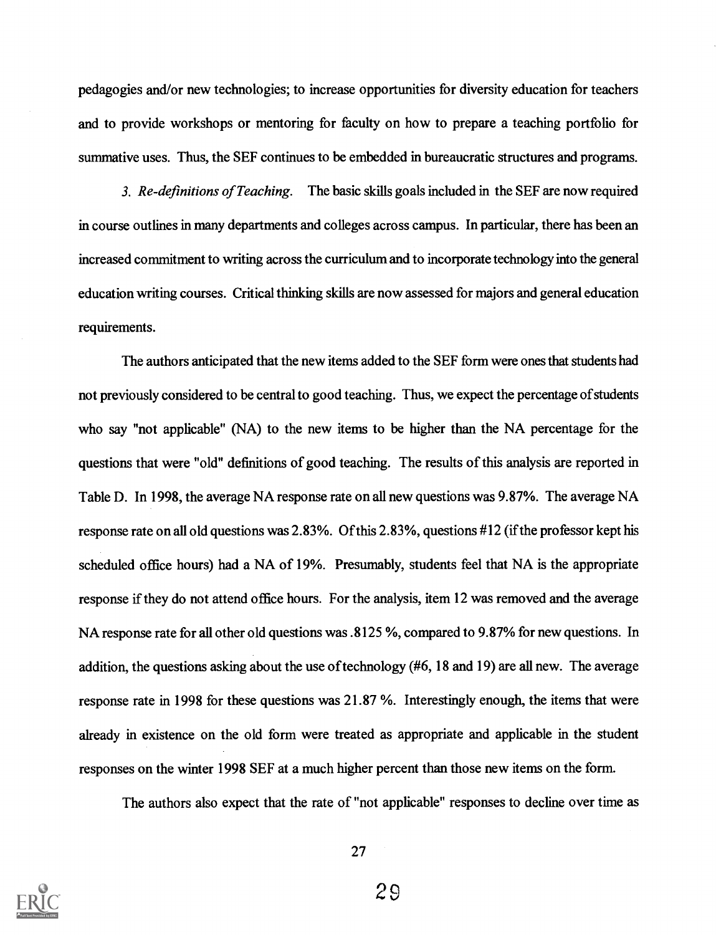pedagogies and/or new technologies; to increase opportunities for diversity education for teachers and to provide workshops or mentoring for faculty on how to prepare a teaching portfolio for summative uses. Thus, the SEF continues to be embedded in bureaucratic structures and programs.

3. Re-definitions of Teaching. The basic skills goals included in the SEF are now required in course outlines in many departments and colleges across campus. In particular, there has been an increased commitment to writing across the curriculum and to incorporate technology into the general education writing courses. Critical thinking skills are now assessed for majors and general education requirements.

The authors anticipated that the new items added to the SEF form were ones that students had not previously considered to be central to good teaching. Thus, we expect the percentage of students who say "not applicable" (NA) to the new items to be higher than the NA percentage for the questions that were "old" definitions of good teaching. The results of this analysis are reported in Table D. In 1998, the average NA response rate on all new questions was 9.87%. The average NA response rate on all old questions was 2.83%. Of this 2.83%, questions #12 (if the professor kept his scheduled office hours) had a NA of 19%. Presumably, students feel that NA is the appropriate response if they do not attend office hours. For the analysis, item 12 was removed and the average NA response rate for all other old questions was .8125 %, compared to 9.87% for new questions. In addition, the questions asking about the use of technology (#6, 18 and 19) are all new. The average response rate in 1998 for these questions was 21.87 %. Interestingly enough, the items that were already in existence on the old form were treated as appropriate and applicable in the student responses on the winter 1998 SEF at a much higher percent than those new items on the form.

The authors also expect that the rate of "not applicable" responses to decline over time as

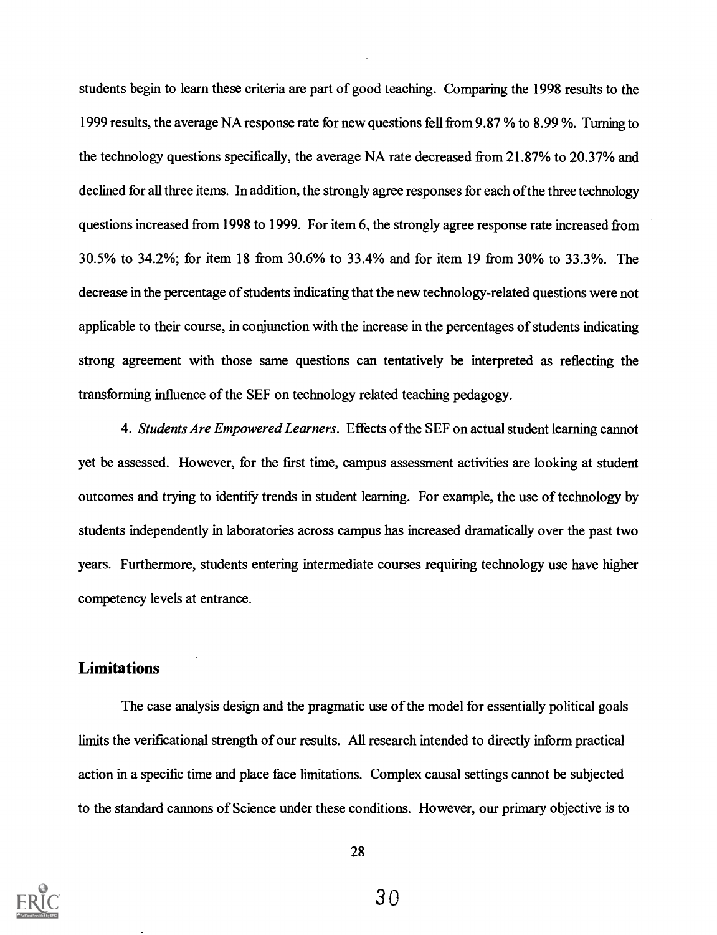students begin to learn these criteria are part of good teaching. Comparing the 1998 results to the 1999 results, the average NA response rate for new questions fell from 9.87 % to 8.99 %. Turning to the technology questions specifically, the average NA rate decreased from 21.87% to 20.37% and declined for all three items. In addition, the strongly agree responses for each of the three technology questions increased from 1998 to 1999. For item 6, the strongly agree response rate increased from 30.5% to 34.2%; for item 18 from 30.6% to 33.4% and for item 19 from 30% to 33.3%. The decrease in the percentage of students indicating that the new technology-related questions were not applicable to their course, in conjunction with the increase in the percentages of students indicating strong agreement with those same questions can tentatively be interpreted as reflecting the transforming influence of the SEF on technology related teaching pedagogy.

4. Students Are Empowered Learners. Effects of the SEF on actual student learning cannot yet be assessed. However, for the first time, campus assessment activities are looking at student outcomes and trying to identify trends in student learning. For example, the use of technology by students independently in laboratories across campus has increased dramatically over the past two years. Furthermore, students entering intermediate courses requiring technology use have higher competency levels at entrance.

## Limitations

The case analysis design and the pragmatic use of the model for essentially political goals limits the verificational strength of our results. All research intended to directly inform practical action in a specific time and place face limitations. Complex causal settings cannot be subjected to the standard cannons of Science under these conditions. However, our primary objective is to

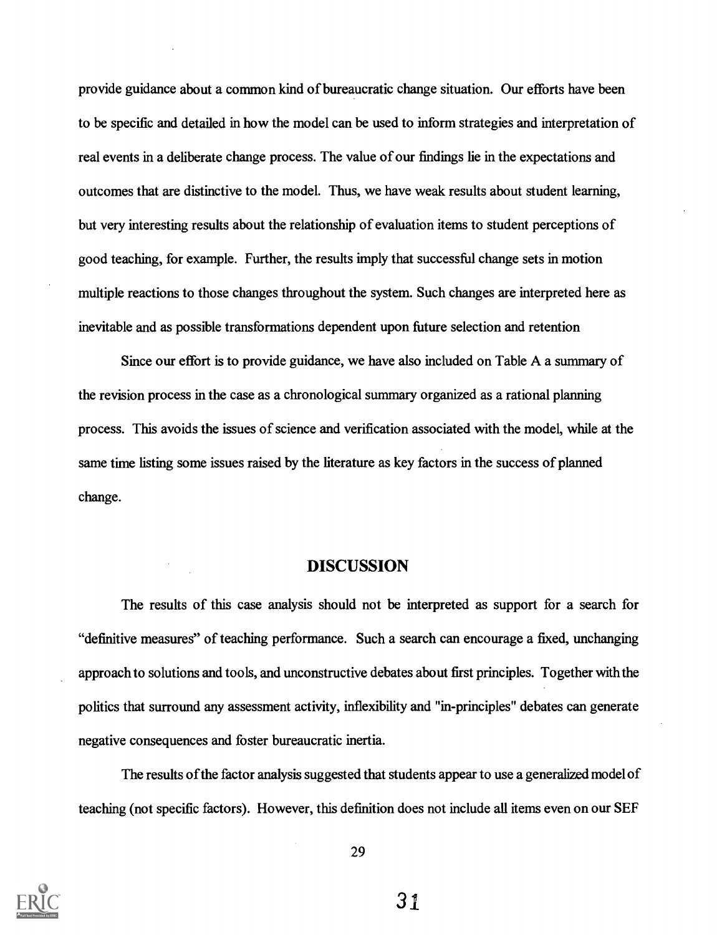provide guidance about a common kind of bureaucratic change situation. Our efforts have been to be specific and detailed in how the model can be used to inform strategies and interpretation of real events in a deliberate change process. The value of our findings lie in the expectations and outcomes that are distinctive to the model. Thus, we have weak results about student learning, but very interesting results about the relationship of evaluation items to student perceptions of good teaching, for example. Further, the results imply that successful change sets in motion multiple reactions to those changes throughout the system. Such changes are interpreted here as inevitable and as possible transformations dependent upon future selection and retention

Since our effort is to provide guidance, we have also included on Table A a summary of the revision process in the case as a chronological summary organized as a rational planning process. This avoids the issues of science and verification associated with the model, while at the same time listing some issues raised by the literature as key factors in the success of planned change.

## DISCUSSION

The results of this case analysis should not be interpreted as support for a search for "definitive measures" of teaching performance. Such a search can encourage a fixed, unchanging approach to solutions and tools, and unconstructive debates about first principles. Together with the politics that surround any assessment activity, inflexibility and "in-principles" debates can generate negative consequences and foster bureaucratic inertia.

The results of the factor analysis suggested that students appear to use a generalized model of teaching (not specific factors). However, this definition does not include all items even on our SEF

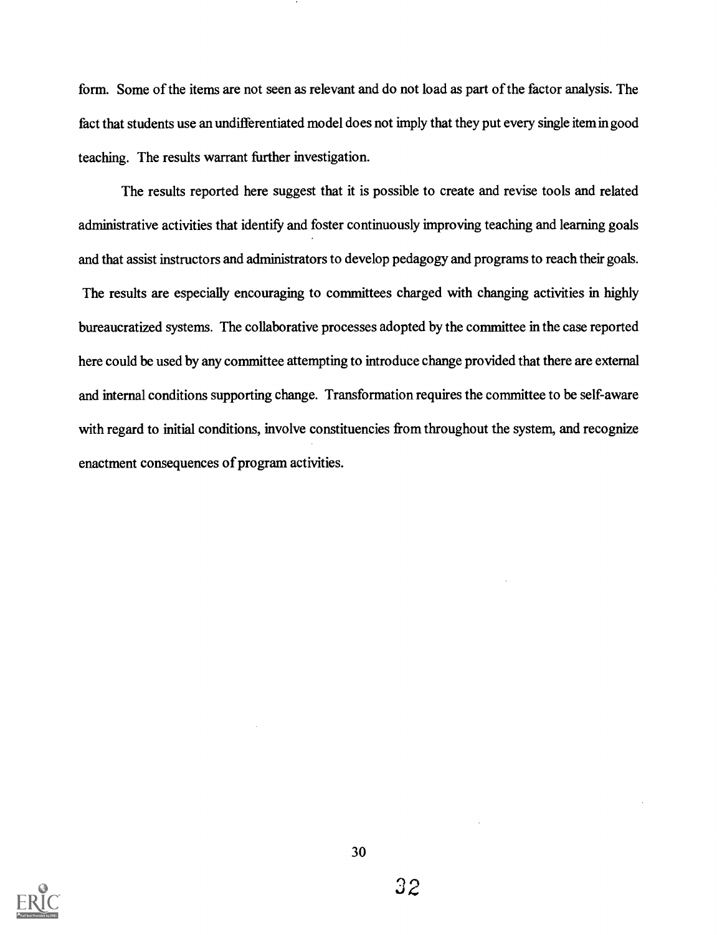form. Some of the items are not seen as relevant and do not load as part of the factor analysis. The fact that students use an undifferentiated model does not imply that they put every single item in good teaching. The results warrant further investigation.

The results reported here suggest that it is possible to create and revise tools and related administrative activities that identify and foster continuously improving teaching and learning goals and that assist instructors and administrators to develop pedagogy and programs to reach their goals. The results are especially encouraging to committees charged with changing activities in highly bureaucratized systems. The collaborative processes adopted by the committee in the case reported here could be used by any committee attempting to introduce change provided that there are external and internal conditions supporting change. Transformation requires the committee to be self-aware with regard to initial conditions, involve constituencies from throughout the system, and recognize enactment consequences of program activities.

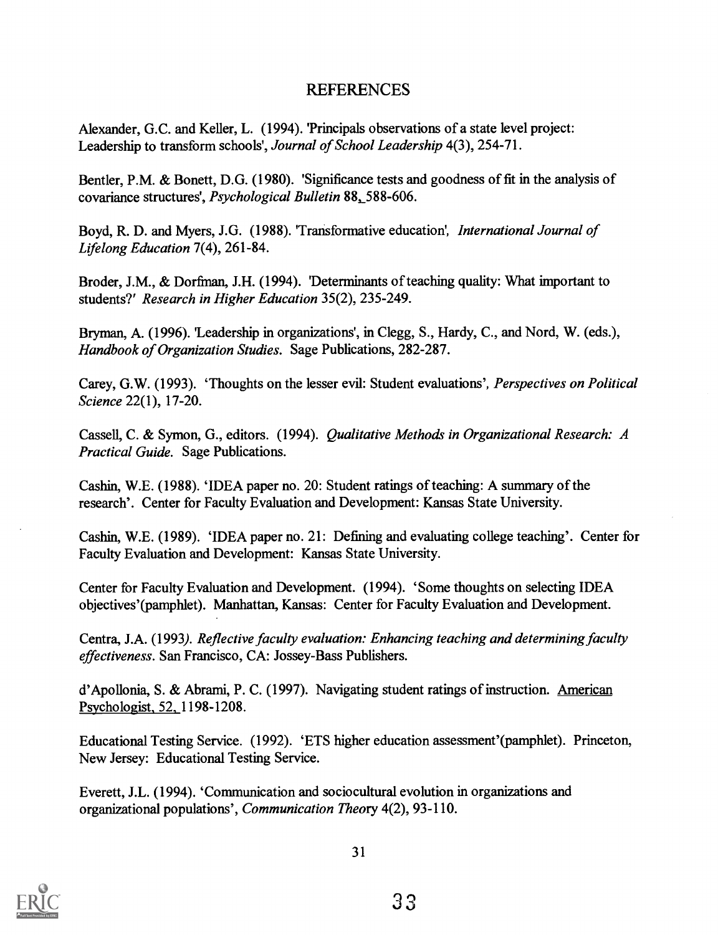# REFERENCES

Alexander, G.C. and Keller, L. (1994). 'Principals observations of a state level project: Leadership to transform schools', Journal of School Leadership 4(3), 254-71.

Bentler, P.M. & Bonett, D.G. (1980). 'Significance tests and goodness of fit in the analysis of covariance structures', Psychological Bulletin 88,588-606.

Boyd, R. D. and Myers, J.G. (1988). 'Transformative education', International Journal of Lifelong Education 7(4), 261-84.

Broder, J.M., & Dorfman, J.H. (1994). 'Determinants of teaching quality: What important to students?' Research in Higher Education 35(2), 235-249.

Bryman, A. (1996). 'Leadership in organizations', in Clegg, S., Hardy, C., and Nord, W. (eds.), Handbook of Organization Studies. Sage Publications, 282-287.

Carey, G.W. (1993). 'Thoughts on the lesser evil: Student evaluations', Perspectives on Political Science 22(1), 17-20.

Cassell, C. & Symon, G., editors. (1994). Qualitative Methods in Organizational Research: A Practical Guide. Sage Publications.

Cashin, W.E. (1988). 'IDEA paper no. 20: Student ratings of teaching: A summary of the research'. Center for Faculty Evaluation and Development: Kansas State University.

Cashin, W.E. (1989). 'IDEA paper no. 21: Defining and evaluating college teaching'. Center for Faculty Evaluation and Development: Kansas State University.

Center for Faculty Evaluation and Development. (1994). 'Some thoughts on selecting IDEA objectives'(pamphlet). Manhattan, Kansas: Center for Faculty Evaluation and Development.

Centra, J.A. (1993). Reflective faculty evaluation: Enhancing teaching and determining faculty effectiveness. San Francisco, CA: Jossey-Bass Publishers.

d'Apollonia, S. & Abrami, P. C. (1997). Navigating student ratings of instruction. American Psychologist, 52, 1198-1208.

Educational Testing Service. (1992). 'ETS higher education assessment'(pamphlet). Princeton, New Jersey: Educational Testing Service.

Everett, J.L. (1994). 'Communication and sociocultural evolution in organizations and organizational populations', Communication Theory 4(2), 93-110.

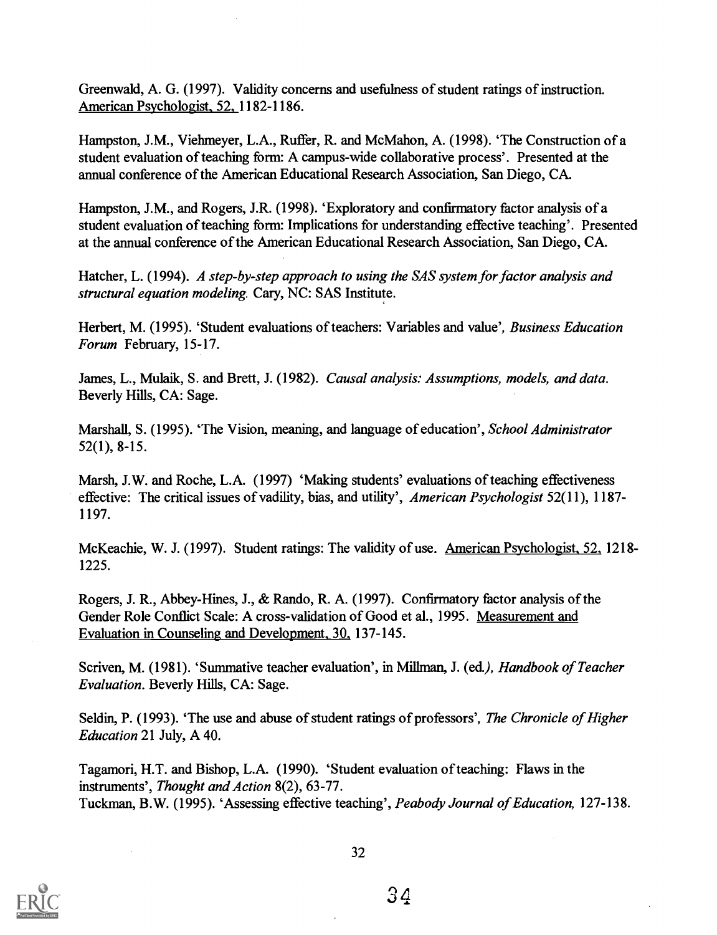Greenwald, A. G. (1997). Validity concerns and usefulness of student ratings of instruction. American Psychologist, 52, 1182-1186.

Hampston, J.M., Viehmeyer, L.A., Ruffer, R. and McMahon, A. (1998). 'The Construction of a student evaluation of teaching form: A campus-wide collaborative process'. Presented at the annual conference of the American Educational Research Association, San Diego, CA.

Hampston, J.M., and Rogers, J.R. (1998). 'Exploratory and confirmatory factor analysis of a student evaluation of teaching form: Implications for understanding effective teaching'. Presented at the annual conference of the American Educational Research Association, San Diego, CA.

Hatcher, L. (1994). A step-by-step approach to using the SAS system for factor analysis and structural equation modeling. Cary, NC: SAS Institute.

Herbert, M. (1995). 'Student evaluations of teachers: Variables and value', *Business Education* Forum February, 15-17.

James, L., Mulaik, S. and Brett, J. (1982). Causal analysis: Assumptions, models, and data. Beverly Hills, CA: Sage.

Marshall, S. (1995). 'The Vision, meaning, and language of education', School Administrator 52(1), 8-15.

Marsh, J.W. and Roche, L.A. (1997) 'Making students' evaluations of teaching effectiveness effective: The critical issues of vadility, bias, and utility', American Psychologist 52(11), 1187- 1197.

McKeachie, W. J. (1997). Student ratings: The validity of use. American Psychologist, 52, 1218-1225.

Rogers, J. R., Abbey-Hines, J., & Rando, R. A. (1997). Confirmatory factor analysis of the Gender Role Conflict Scale: A cross-validation of Good et al., 1995. Measurement and Evaluation in Counseling and Development, 30., 137-145.

Scriven, M. (1981). 'Summative teacher evaluation', in Millman, J. (ed.), Handbook of Teacher Evaluation. Beverly Hills, CA: Sage.

Seldin, P. (1993). 'The use and abuse of student ratings of professors', The Chronicle of Higher Education 21 July, A 40.

Tagamori, H.T. and Bishop, L.A. (1990). 'Student evaluation of teaching: Flaws in the instruments', Thought and Action 8(2), 63-77. Tuckman, B.W. (1995). 'Assessing effective teaching', Peabody Journal of Education, 127-138.

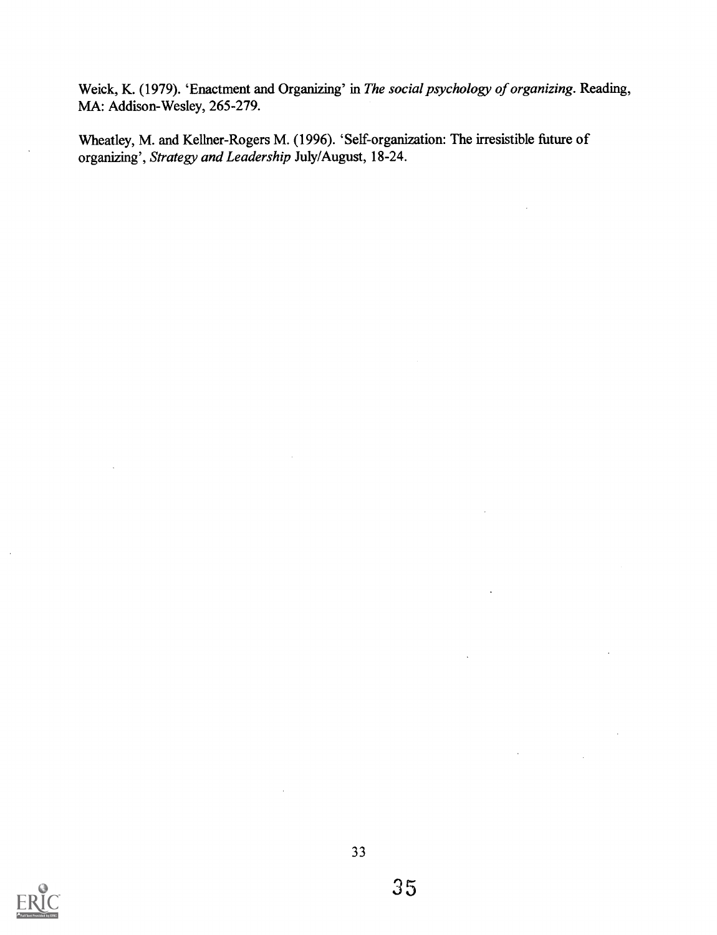Weick, K. (1979). 'Enactment and Organizing' in The social psychology of organizing. Reading, MA: Addison-Wesley, 265-279.

Wheatley, M. and Kellner-Rogers M. (1996). 'Self-organization: The irresistible future of organizing', Strategy and Leadership July/August, 18-24.

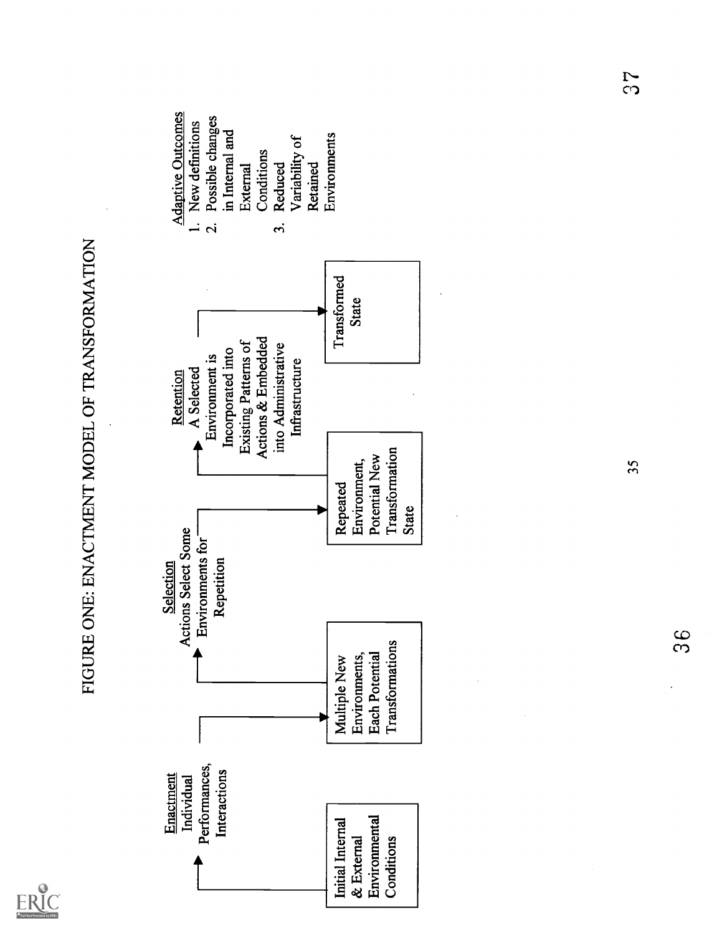

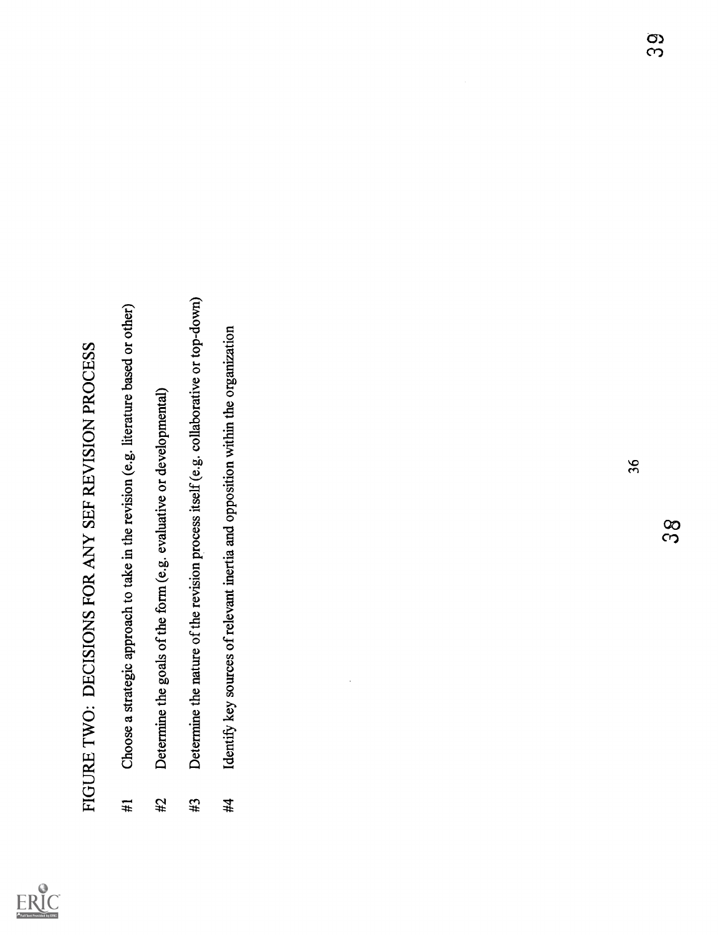

- FIGURE I WO: DECISIONS FOR ANY SEF REVISION PROCESS<br>
#1 Choose a stategic approach to take in the revision (e.g. literature based or other)<br>
#2 Determine the goals of the form (e.g. evaluative or developmental)<br>
#5 Determi
	-
- 
- 

ო 20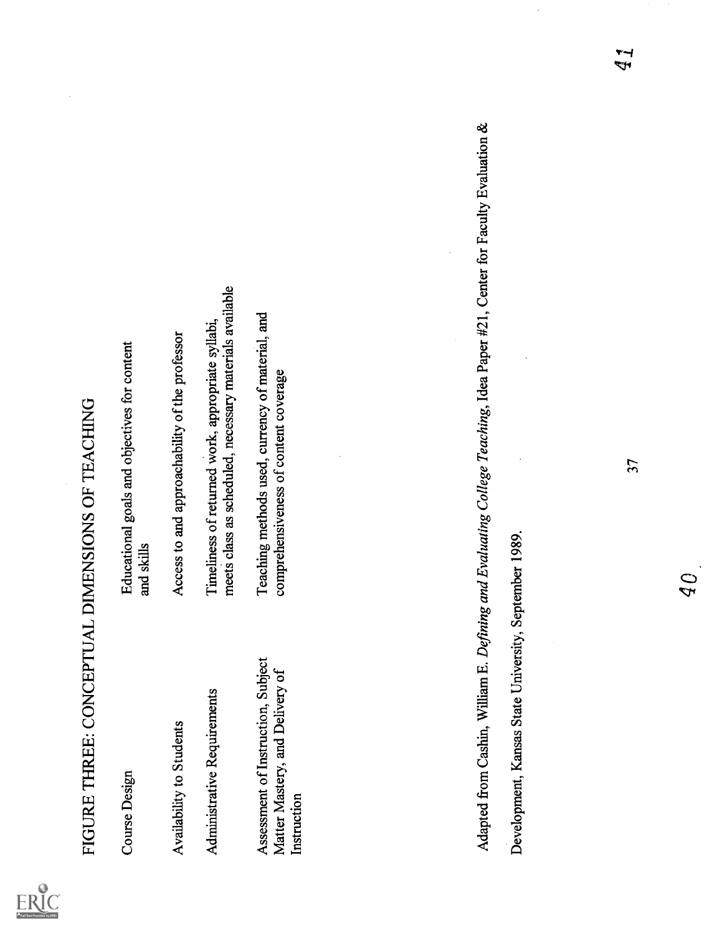

| FIGURE THREE: CONCEPTUAL DIMENSIONS OF TEACHING                                      |                                                                                                              |
|--------------------------------------------------------------------------------------|--------------------------------------------------------------------------------------------------------------|
| <b>Course Design</b>                                                                 | Educational goals and objectives for content<br>and skills                                                   |
| Availability to Students                                                             | Access to and approachability of the professor                                                               |
| Administrative Requirements                                                          | meets class as scheduled, necessary materials available<br>Timeliness of returned work, appropriate syllabi, |
| Assessment of Instruction, Subject<br>Matter Mastery, and Delivery of<br>Instruction | Teaching methods used, currency of material, and<br>comprehensiveness of content coverage                    |
|                                                                                      |                                                                                                              |
|                                                                                      |                                                                                                              |
| Adapted from Cashin, William E.                                                      | Defining and Evaluating College Teaching, Idea Paper #21, Center for Faculty Evaluation &                    |
| Development, Kansas State University, September 1989.                                |                                                                                                              |
|                                                                                      | 57                                                                                                           |

 $\overline{Q}$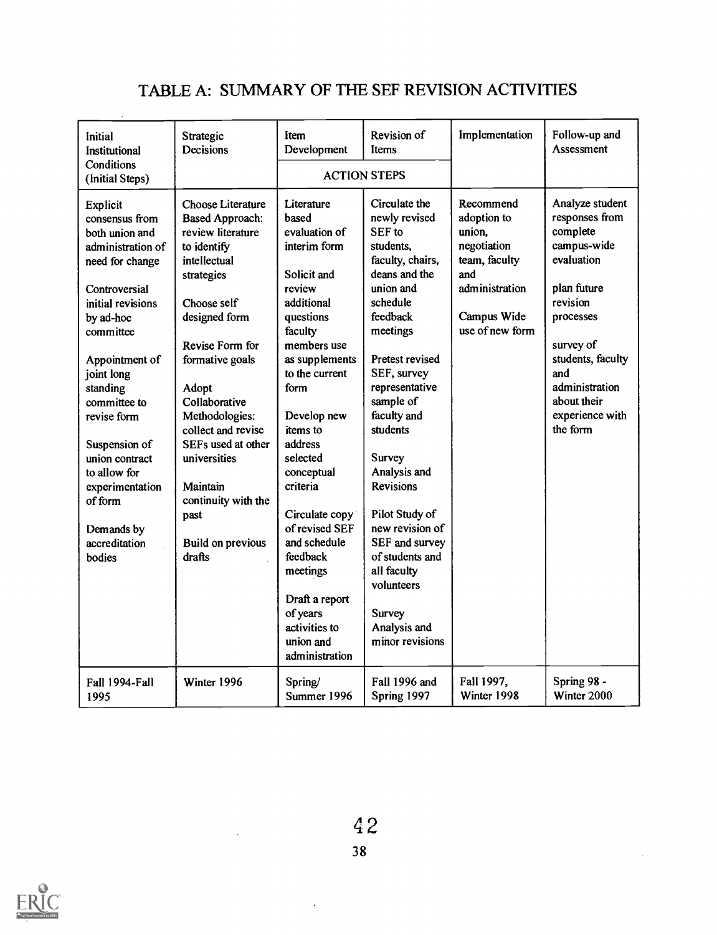# TABLE A: SUMMARY OF THE SEF REVISION ACTIVITIES

| Initial<br>Institutional                                                                                                                                                                                | Strategic<br>Decisions                                                                                                                                                                       | Item<br>Development                                                                                                                                                                                                                | Revision of<br>Items                                                                                                                                                                                                                   | Implementation                                                                                                                | Follow-up and<br>Assessment                                                                                                                                                   |
|---------------------------------------------------------------------------------------------------------------------------------------------------------------------------------------------------------|----------------------------------------------------------------------------------------------------------------------------------------------------------------------------------------------|------------------------------------------------------------------------------------------------------------------------------------------------------------------------------------------------------------------------------------|----------------------------------------------------------------------------------------------------------------------------------------------------------------------------------------------------------------------------------------|-------------------------------------------------------------------------------------------------------------------------------|-------------------------------------------------------------------------------------------------------------------------------------------------------------------------------|
| Conditions<br>(Initial Steps)                                                                                                                                                                           |                                                                                                                                                                                              |                                                                                                                                                                                                                                    | <b>ACTION STEPS</b>                                                                                                                                                                                                                    |                                                                                                                               |                                                                                                                                                                               |
| <b>Explicit</b><br>consensus from<br>both union and<br>administration of<br>need for change<br>Controversial<br>initial revisions<br>by ad-hoc<br>committee<br>Appointment of<br>joint long<br>standing | Choose Literature<br><b>Based Approach:</b><br>review literature<br>to identify<br>intellectual<br>strategies<br>Choose self<br>designed form<br>Revise Form for<br>formative goals<br>Adopt | Literature<br>based<br>evaluation of<br>interim form<br>Solicit and<br>review<br>additional<br>questions<br>faculty<br>members use<br>as supplements<br>to the current<br>form                                                     | Circulate the<br>newly revised<br>SEF to<br>students,<br>faculty, chairs,<br>deans and the<br>union and<br>schedule<br>feedback<br>meetings<br>Pretest revised<br>SEF, survey<br>representative                                        | Recommend<br>adoption to<br>union,<br>negotiation<br>team, faculty<br>and<br>administration<br>Campus Wide<br>use of new form | Analyze student<br>responses from<br>complete<br>campus-wide<br>evaluation<br>plan future<br>revision<br>processes<br>survey of<br>students, faculty<br>and<br>administration |
| committee to<br>revise form<br>Suspension of<br>union contract<br>to allow for<br>experimentation<br>of form<br>Demands by<br>accreditation<br>bodies                                                   | Collaborative<br>Methodologies:<br>collect and revise<br>SEFs used at other<br>universities<br>Maintain<br>continuity with the<br>past<br>Build on previous<br>drafts                        | Develop new<br>items to<br>address<br>selected<br>conceptual<br>criteria<br>Circulate copy<br>of revised SEF<br>and schedule<br>feedback<br>meetings<br>Draft a report<br>of years<br>activities to<br>union and<br>administration | sample of<br>faculty and<br>students<br>Survey<br>Analysis and<br><b>Revisions</b><br>Pilot Study of<br>new revision of<br>SEF and survey<br>of students and<br>all faculty<br>volunteers<br>Survey<br>Analysis and<br>minor revisions |                                                                                                                               | about their<br>experience with<br>the form                                                                                                                                    |
| Fall 1994-Fall<br>1995                                                                                                                                                                                  | Winter 1996                                                                                                                                                                                  | Spring/<br>Summer 1996                                                                                                                                                                                                             | Fall 1996 and<br>Spring 1997                                                                                                                                                                                                           | Fall 1997,<br>Winter 1998                                                                                                     | Spring 98 -<br>Winter 2000                                                                                                                                                    |



 $\bar{z}$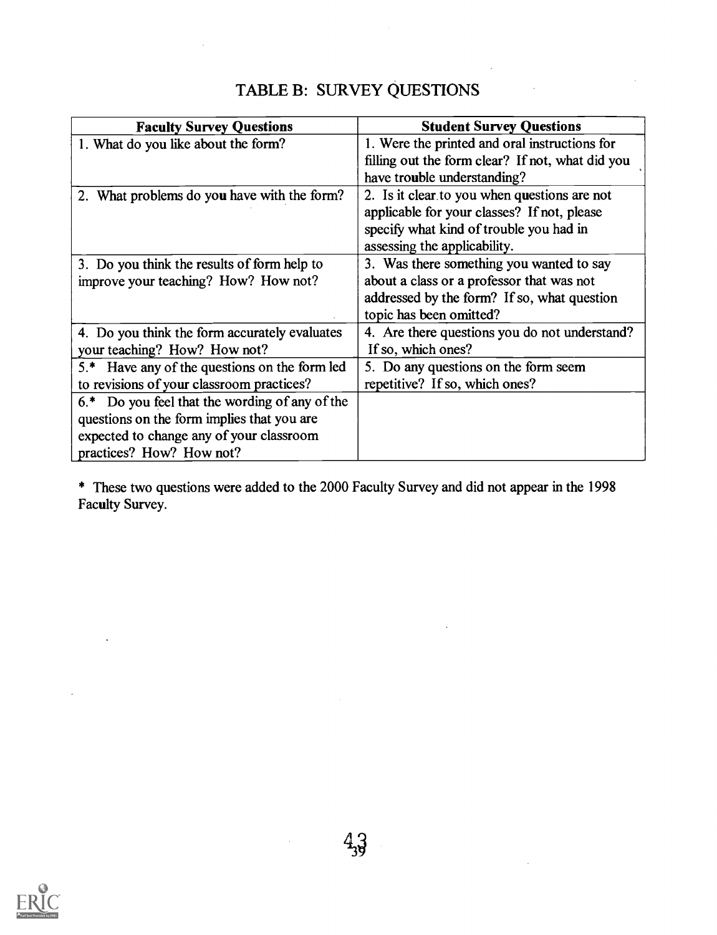# TABLE B: SURVEY QUESTIONS

| <b>Faculty Survey Questions</b>                     | <b>Student Survey Questions</b>                  |
|-----------------------------------------------------|--------------------------------------------------|
| 1. What do you like about the form?                 | 1. Were the printed and oral instructions for    |
|                                                     | filling out the form clear? If not, what did you |
|                                                     | have trouble understanding?                      |
| 2. What problems do you have with the form?         | 2. Is it clear to you when questions are not     |
|                                                     | applicable for your classes? If not, please      |
|                                                     | specify what kind of trouble you had in          |
|                                                     | assessing the applicability.                     |
| 3. Do you think the results of form help to         | 3. Was there something you wanted to say         |
| improve your teaching? How? How not?                | about a class or a professor that was not        |
|                                                     | addressed by the form? If so, what question      |
|                                                     | topic has been omitted?                          |
| 4. Do you think the form accurately evaluates       | 4. Are there questions you do not understand?    |
| your teaching? How? How not?                        | If so, which ones?                               |
| 5.* Have any of the questions on the form led       | 5. Do any questions on the form seem             |
| to revisions of your classroom practices?           | repetitive? If so, which ones?                   |
| Do you feel that the wording of any of the<br>$6.*$ |                                                  |
| questions on the form implies that you are          |                                                  |
| expected to change any of your classroom            |                                                  |
| practices? How? How not?                            |                                                  |

\* These two questions were added to the 2000 Faculty Survey and did not appear in the 1998 Faculty Survey.

 $4,3$ 

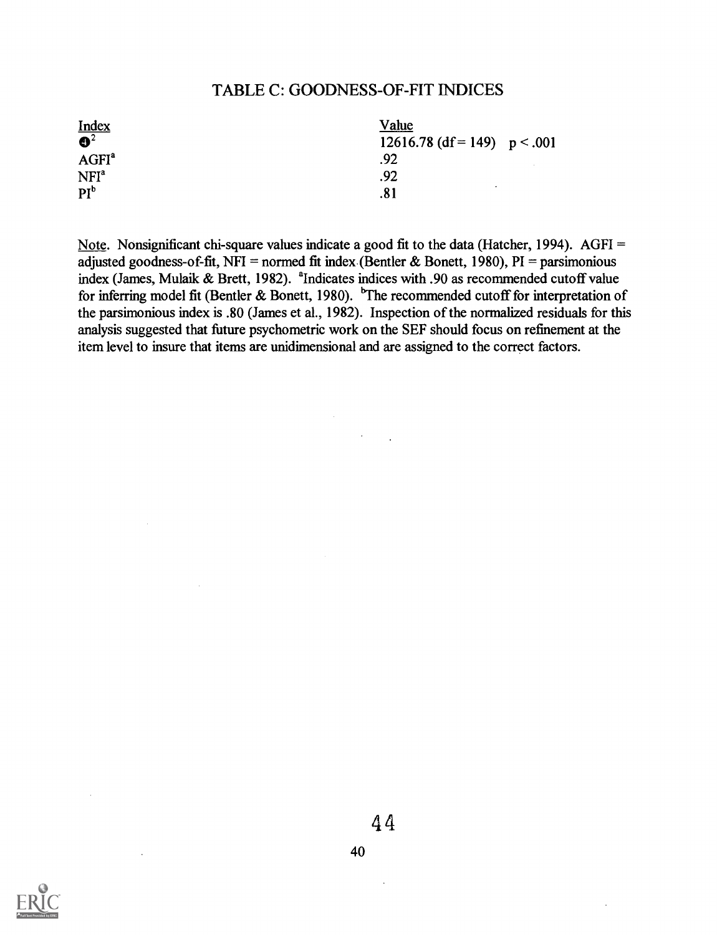# TABLE C: GOODNESS-OF-FIT INDICES

| $\frac{\text{Index}}{\mathbf{Q}^2}$ | <u>Value</u>                   |
|-------------------------------------|--------------------------------|
|                                     | 12616.78 (df = 149) $p < .001$ |
| AGFI <sup>a</sup>                   | .92                            |
| NFI <sup>a</sup>                    | .92                            |
| PI <sup>b</sup>                     | .81                            |

Note. Nonsignificant chi-square values indicate a good fit to the data (Hatcher, 1994). AGFI = adjusted goodness-of-fit, NFI = normed fit index (Bentler & Bonett, 1980), PI = parsimonious index (James, Mulaik & Brett, 1982).  $^{\circ}$ Indicates indices with .90 as recommended cutoff value for inferring model fit (Bentler & Bonett, 1980). The recommended cutoff for interpretation of the parsimonious index is .80 (James et al., 1982). Inspection of the normalized residuals for this analysis suggested that future psychometric work on the SEF should focus on refinement at the item level to insure that items are unidimensional and are assigned to the correct factors.

 $\mathcal{L}^{\text{max}}_{\text{max}}$ 

 $\lambda$ 

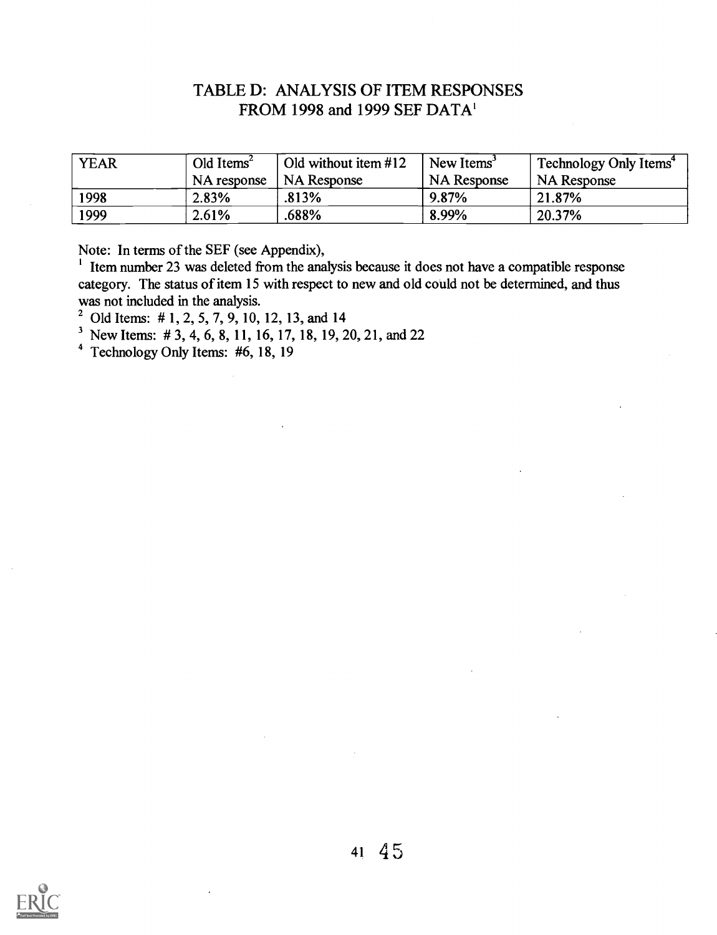# TABLE D: ANALYSIS OF ITEM RESPONSES FROM 1998 and 1999 SEF DATA'

| <b>YEAR</b> | Old Items <sup>2</sup> | Old without item #12 | New Items          | Technology Only Items <sup>4</sup> |
|-------------|------------------------|----------------------|--------------------|------------------------------------|
|             | NA response            | <b>NA Response</b>   | <b>NA</b> Response | <b>NA Response</b>                 |
| 1998        | 2.83%                  | .813%                | $9.87\%$           | 21.87%                             |
| 1999        | 2.61%                  | .688%                | 8.99%              | 20.37%                             |

Note: In terms of the SEF (see Appendix),

<sup>1</sup> Item number 23 was deleted from the analysis because it does not have a compatible response category. The status of item 15 with respect to new and old could not be determined, and thus was not included in the analysis.

<sup>2</sup> Old Items: #1, 2, 5, 7, 9, 10, 12, 13, and 14

<sup>3</sup> New Items: # 3, 4, 6, 8, 11, 16, 17, 18, 19, 20, 21, and 22

4 Technology Only Items: #6, 18, 19

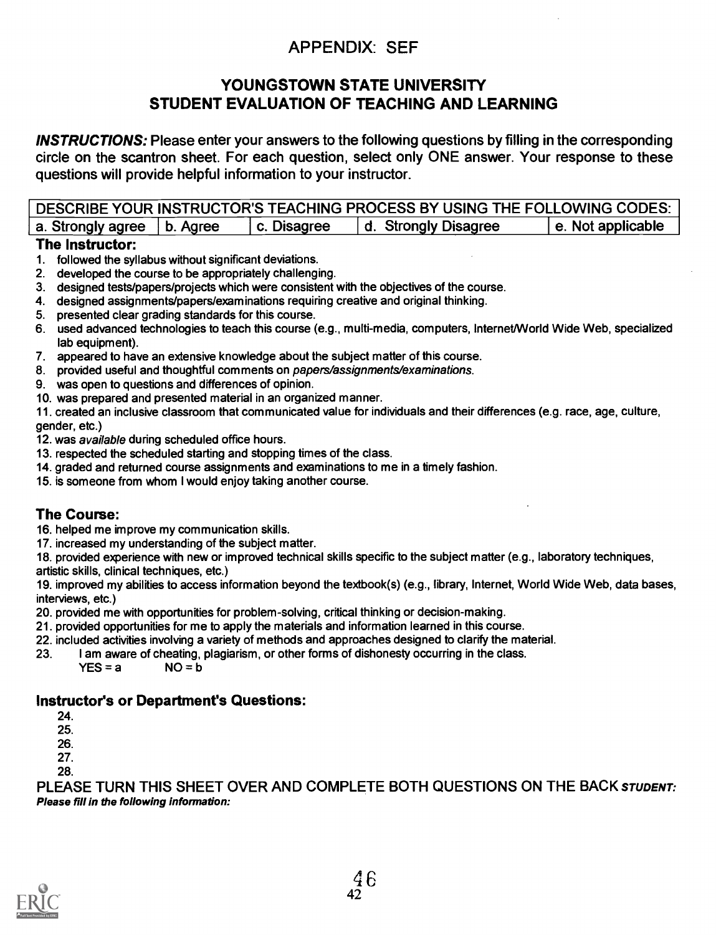# APPENDIX: SEF

# YOUNGSTOWN STATE UNIVERSITY STUDENT EVALUATION OF TEACHING AND LEARNING

INSTRUCTIONS: Please enter your answers to the following questions by filling in the corresponding circle on the scantron sheet. For each question, select only ONE answer. Your response to these questions will provide helpful information to your instructor.

| DESCRIBE YOUR INSTRUCTOR'S TEACHING PROCESS BY USING THE FOLLOWING CODES:                     |
|-----------------------------------------------------------------------------------------------|
| e. Not applicable<br>I d. Strongly Disagree<br>a. Strongly agree $ b $ . Agree<br>c. Disagree |

## The Instructor:

- 1. followed the syllabus without significant deviations.
- 2. developed the course to be appropriately challenging.
- 3. designed tests/papers/projects which were consistent with the objectives of the course.
- 4. designed assignments/papers/examinations requiring creative and original thinking.
- 5. presented clear grading standards for this course.
- 6. used advanced technologies to teach this course (e.g., multi-media, computers, Internet/World Wide Web, specialized lab equipment).
- 7. appeared to have an extensive knowledge about the subject matter of this course.
- 8. provided useful and thoughtful comments on papes/assignments/examinations.
- 9. was open to questions and differences of opinion.
- 10. was prepared and presented material in an organized manner.

11. created an inclusive classroom that communicated value for individuals and their differences (e.g. race, age, culture, gender, etc.)

- 12. was available during scheduled office hours.
- 13. respected the scheduled starting and stopping times of the class.
- 14. graded and returned course assignments and examinations to me in a timely fashion.
- 15. is someone from whom I would enjoy taking another course.

# The Course:

16. helped me improve my communication skills.

17. increased my understanding of the subject matter.

18. provided experience with new or improved technical skills specific to the subject matter (e.g., laboratory techniques, artistic skills, clinical techniques, etc.)

19. improved my abilities to access information beyond the textbook(s) (e.g., library, Internet, World Wide Web, data bases, interviews, etc.)

- 20. provided me with opportunities for problem-solving, critical thinking or decision-making.
- 21. provided opportunities for me to apply the materials and information learned in this course.
- 22. included activities involving a variety of methods and approaches designed to clarify the material.
- 23. I am aware of cheating, plagiarism, or other forms of dishonesty occurring in the class.<br>YES = a  $NQ = b$ 
	- $YES = a$

# Instructor's or Department's Questions:

24.

- 25.
- 26.
- 27. 28.

PLEASE TURN THIS SHEET OVER AND COMPLETE BOTH QUESTIONS ON THE BACK STUDENT: Please fill in the following information:

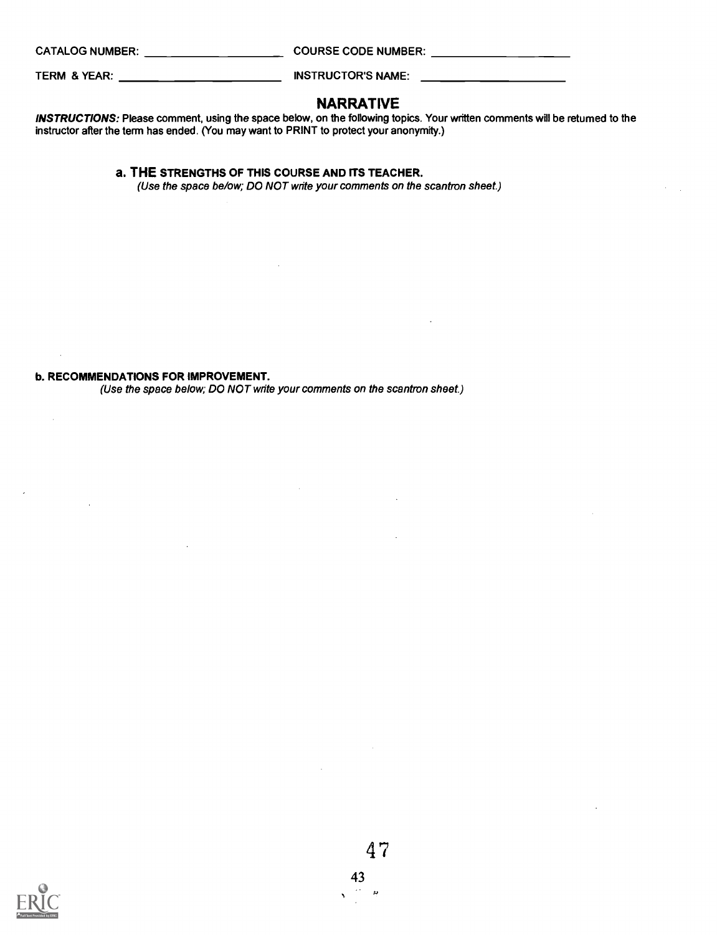$\mathcal{L}_{\mathcal{A}}$ 

 $\mathcal{A}$ 

CATALOG NUMBER: COURSE CODE NUMBER:

TERM & YEAR: INSTRUCTOR'S NAME:

## NARRATIVE

INSTRUCTIONS: Please comment, using the space below, on the following topics. Your written comments will be returned to the instructor after the term has ended. (You may want to PRINT to protect your anonymity.)

### a. THE STRENGTHS OF THIS COURSE AND ITS TEACHER.

(Use the space be/ow; DO NOT write your comments on the scantron sheet.)

### b. RECOMMENDATIONS FOR IMPROVEMENT.

(Use the space below; DO NOT write your comments on the scantron sheet.)

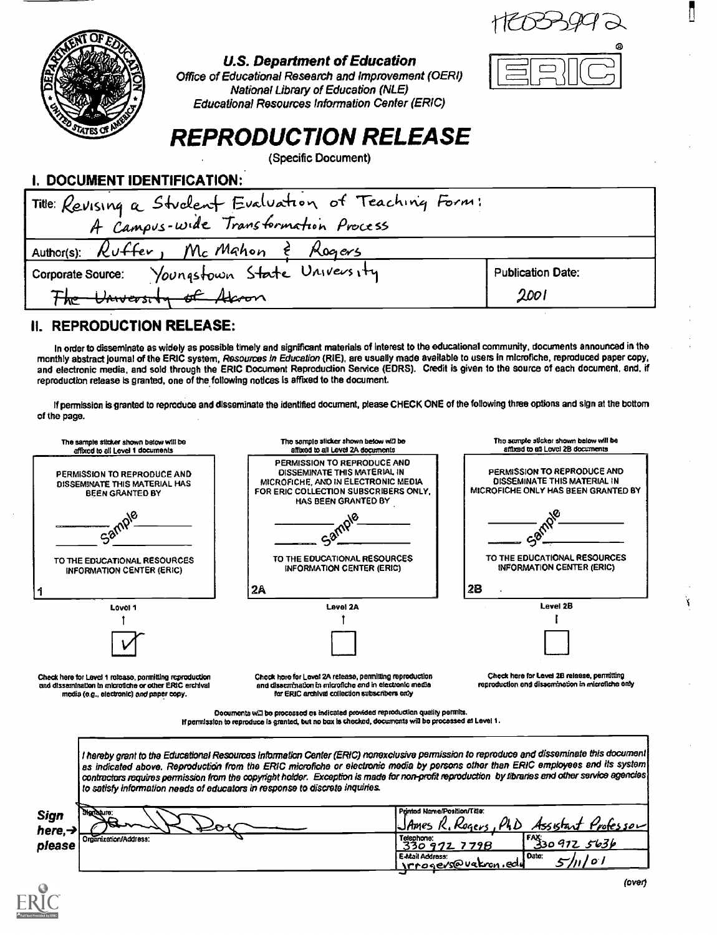$11603992$ 



## U.S. Department of Education

Office of Educational Research and Improvement (OERI) National Library of Education (NLE) Educational Resources Information Center (ERIC)

# REPRODUCTION RELEASE

(Specific Document)

| I. DOCUMENT IDENTIFICATION: |  |
|-----------------------------|--|
|-----------------------------|--|

| Title: Revising a Student Evaluation of Teaching Form: |                          |  |  |
|--------------------------------------------------------|--------------------------|--|--|
| A Campus-wide Transformation Process                   |                          |  |  |
| Author(s): $R$ uffer, McMahon $\epsilon$ Rogers        |                          |  |  |
| Corporate Source: Youngstown State University          | <b>Publication Date:</b> |  |  |
| The University of Aleron                               | 2001                     |  |  |

## II. REPRODUCTION RELEASE:

In order to disseminate as widely as possible timely and significant materials of Interest to the educational community, documents announced in the monthly abstract journal of the ERIC system, Resources in Education (RIE), are usually made available to users in microfiche, reproduced paper copy, and electronic media, and sold through the ERIC Document Reproduction Service (EDRS). Credit is given to the source of each document, and, if reproduction release is granted, one of the following notices is affixed to the document.

If permission is granted to reproduce and disseminate the identified document, please CHECK ONE of the following three options and sign at the bottom of the page.



Documents will be processed as indicated provided reproduction quality permits. perrnIsslon to reproduce Is granted, but no box Is checked, documents will be processed at Level I.

I hereby grant to the Educational Resources Information Center (ERIC) nonexclusive permission to reproduce and disseminate this document as indicated above. Reproduction from the ERIC microfiche or electronic media by persons other than ERIC employees and its system contractors requires permission from the copyright holder. Exception is made for non-profit reproduction by libraries and other service agencies to satisfy Information needs of educators in response to discrete inquiries

inted Name/Position/Title: Sign <u>JAmes R. Rogers, PLD Assistant Professor</u><br>Telephone:<br>330 972 7798 [<sup>FA</sup>330 972 5636 here, > Crganization/Address: T33o e472.\_ 7793 F130 477Z.. r& 3b please E-Mail Address: cover brown, edu value: 5/11/01